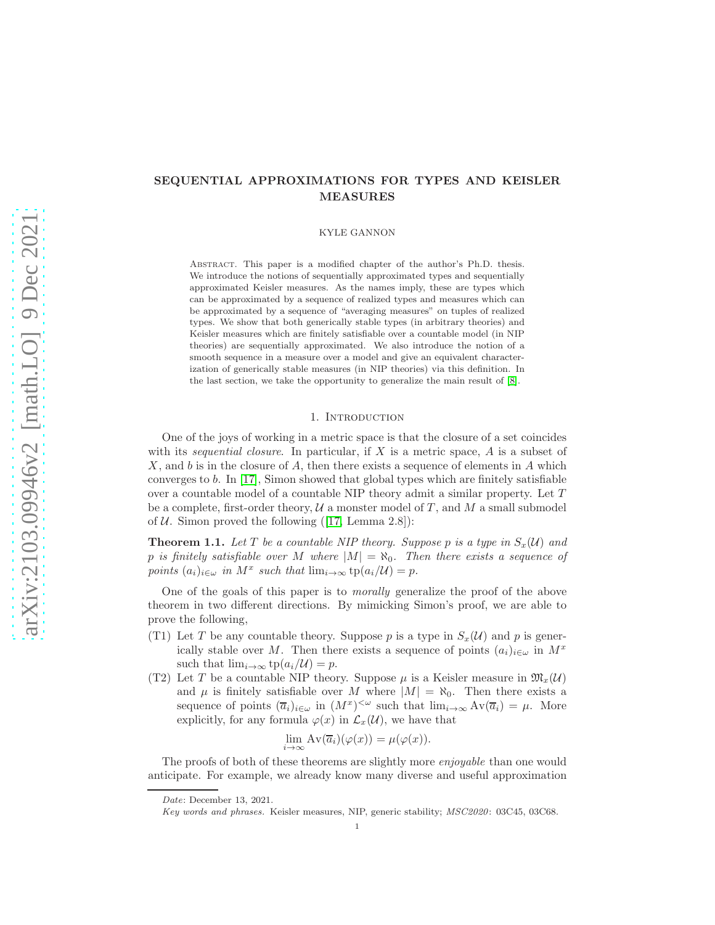# SEQUENTIAL APPROXIMATIONS FOR TYPES AND KEISLER MEASURES

### KYLE GANNON

Abstract. This paper is a modified chapter of the author's Ph.D. thesis. We introduce the notions of sequentially approximated types and sequentially approximated Keisler measures. As the names imply, these are types which can be approximated by a sequence of realized types and measures which can be approximated by a sequence of "averaging measures" on tuples of realized types. We show that both generically stable types (in arbitrary theories) and Keisler measures which are finitely satisfiable over a countable model (in NIP theories) are sequentially approximated. We also introduce the notion of a smooth sequence in a measure over a model and give an equivalent characterization of generically stable measures (in NIP theories) via this definition. In the last section, we take the opportunity to generalize the main result of [\[8\]](#page-25-0).

# 1. INTRODUCTION

One of the joys of working in a metric space is that the closure of a set coincides with its *sequential closure*. In particular, if X is a metric space, A is a subset of X, and b is in the closure of A, then there exists a sequence of elements in A which converges to b. In [\[17\]](#page-26-0), Simon showed that global types which are finitely satisfiable over a countable model of a countable NIP theory admit a similar property. Let T be a complete, first-order theory,  $U$  a monster model of T, and M a small submodel of  $U$ . Simon proved the following ([\[17,](#page-26-0) Lemma 2.8]):

<span id="page-0-0"></span>**Theorem 1.1.** Let T be a countable NIP theory. Suppose p is a type in  $S_x(\mathcal{U})$  and p is finitely satisfiable over M where  $|M| = \aleph_0$ . Then there exists a sequence of *points*  $(a_i)_{i \in \omega}$  *in*  $M^x$  *such that*  $\lim_{i \to \infty} \text{tp}(a_i/\mathcal{U}) = p$ *.* 

One of the goals of this paper is to *morally* generalize the proof of the above theorem in two different directions. By mimicking Simon's proof, we are able to prove the following,

- (T1) Let T be any countable theory. Suppose p is a type in  $S_x(\mathcal{U})$  and p is generically stable over M. Then there exists a sequence of points  $(a_i)_{i\in\omega}$  in  $M^x$ such that  $\lim_{i\to\infty}$  tp $(a_i/\mathcal{U})=p$ .
- (T2) Let T be a countable NIP theory. Suppose  $\mu$  is a Keisler measure in  $\mathfrak{M}_r(\mathcal{U})$ and  $\mu$  is finitely satisfiable over M where  $|M| = \aleph_0$ . Then there exists a sequence of points  $(\overline{a}_i)_{i \in \omega}$  in  $(M^x)^{<\omega}$  such that  $\lim_{i \to \infty} Av(\overline{a}_i) = \mu$ . More explicitly, for any formula  $\varphi(x)$  in  $\mathcal{L}_x(\mathcal{U})$ , we have that

$$
\lim_{i \to \infty} Av(\overline{a}_i)(\varphi(x)) = \mu(\varphi(x)).
$$

The proofs of both of these theorems are slightly more *enjoyable* than one would anticipate. For example, we already know many diverse and useful approximation

Date: December 13, 2021.

Key words and phrases. Keisler measures, NIP, generic stability; MSC2020: 03C45, 03C68.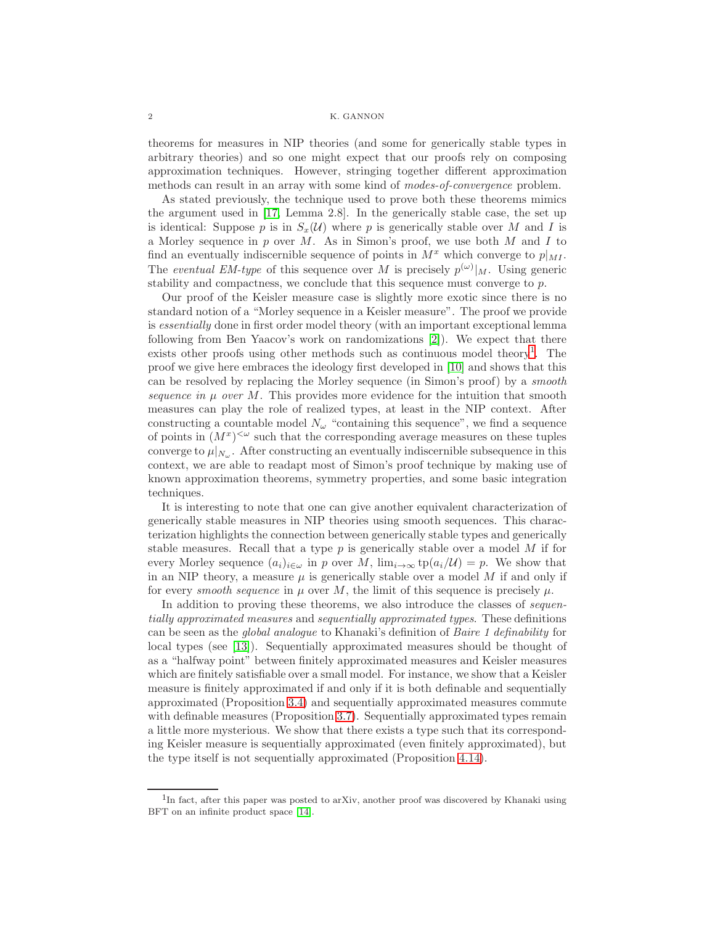theorems for measures in NIP theories (and some for generically stable types in arbitrary theories) and so one might expect that our proofs rely on composing approximation techniques. However, stringing together different approximation methods can result in an array with some kind of *modes-of-convergence* problem.

As stated previously, the technique used to prove both these theorems mimics the argument used in [\[17,](#page-26-0) Lemma 2.8]. In the generically stable case, the set up is identical: Suppose p is in  $S<sub>x</sub>(\mathcal{U})$  where p is generically stable over M and I is a Morley sequence in  $p$  over  $M$ . As in Simon's proof, we use both  $M$  and  $I$  to find an eventually indiscernible sequence of points in  $M^x$  which converge to  $p|_{M_1}$ . The *eventual EM-type* of this sequence over M is precisely  $p^{(\omega)}|_M$ . Using generic stability and compactness, we conclude that this sequence must converge to  $p$ .

Our proof of the Keisler measure case is slightly more exotic since there is no standard notion of a "Morley sequence in a Keisler measure". The proof we provide is *essentially* done in first order model theory (with an important exceptional lemma following from Ben Yaacov's work on randomizations [\[2\]](#page-25-1)). We expect that there exists other proofs using other methods such as continuous model theory<sup>[1](#page-1-0)</sup>. The proof we give here embraces the ideology first developed in [\[10\]](#page-25-2) and shows that this can be resolved by replacing the Morley sequence (in Simon's proof) by a *smooth sequence in*  $\mu$  *over*  $M$ . This provides more evidence for the intuition that smooth measures can play the role of realized types, at least in the NIP context. After constructing a countable model  $N_{\omega}$  "containing this sequence", we find a sequence of points in  $(M^x)^{<\omega}$  such that the corresponding average measures on these tuples converge to  $\mu|_{N_{\omega}}$ . After constructing an eventually indiscernible subsequence in this context, we are able to readapt most of Simon's proof technique by making use of known approximation theorems, symmetry properties, and some basic integration techniques.

It is interesting to note that one can give another equivalent characterization of generically stable measures in NIP theories using smooth sequences. This characterization highlights the connection between generically stable types and generically stable measures. Recall that a type  $p$  is generically stable over a model  $M$  if for every Morley sequence  $(a_i)_{i\in\omega}$  in p over M,  $\lim_{i\to\infty}$  tp $(a_i/\mathcal{U}) = p$ . We show that in an NIP theory, a measure  $\mu$  is generically stable over a model  $M$  if and only if for every *smooth sequence* in  $\mu$  over M, the limit of this sequence is precisely  $\mu$ .

In addition to proving these theorems, we also introduce the classes of *sequentially approximated measures* and *sequentially approximated types*. These definitions can be seen as the *global analogue* to Khanaki's definition of *Baire 1 definability* for local types (see [\[13\]](#page-26-1)). Sequentially approximated measures should be thought of as a "halfway point" between finitely approximated measures and Keisler measures which are finitely satisfiable over a small model. For instance, we show that a Keisler measure is finitely approximated if and only if it is both definable and sequentially approximated (Proposition [3.4\)](#page-9-0) and sequentially approximated measures commute with definable measures (Proposition [3.7\)](#page-10-0). Sequentially approximated types remain a little more mysterious. We show that there exists a type such that its corresponding Keisler measure is sequentially approximated (even finitely approximated), but the type itself is not sequentially approximated (Proposition [4.14\)](#page-15-0).

<span id="page-1-0"></span><sup>&</sup>lt;sup>1</sup>In fact, after this paper was posted to arXiv, another proof was discovered by Khanaki using BFT on an infinite product space [\[14\]](#page-26-2).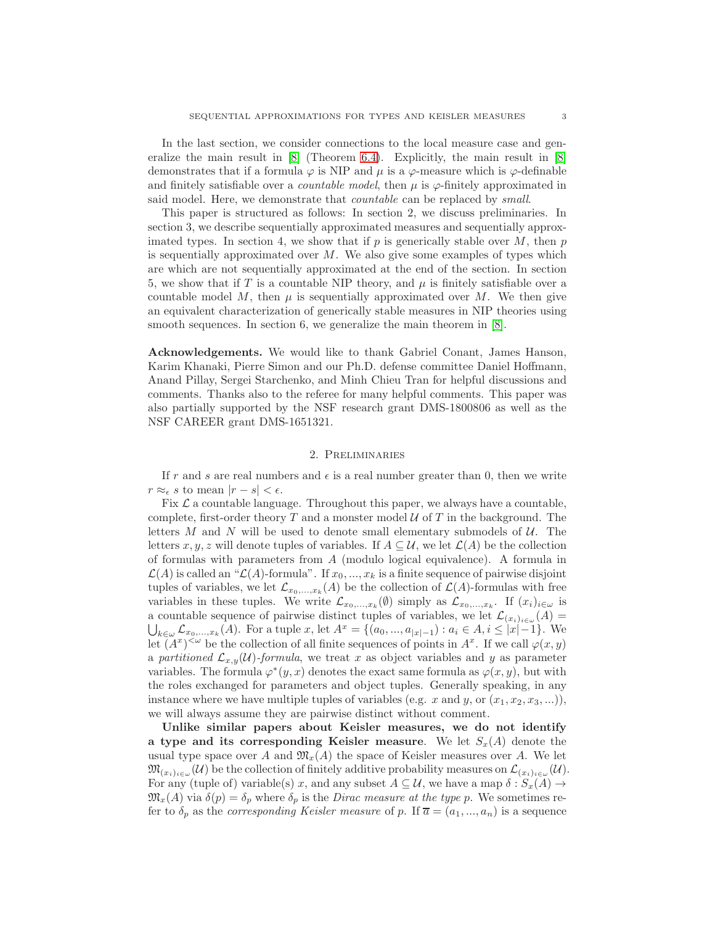In the last section, we consider connections to the local measure case and generalize the main result in  $[8]$  (Theorem [6.4\)](#page-25-3). Explicitly, the main result in  $[8]$ demonstrates that if a formula  $\varphi$  is NIP and  $\mu$  is a  $\varphi$ -measure which is  $\varphi$ -definable and finitely satisfiable over a *countable model*, then  $\mu$  is  $\varphi$ -finitely approximated in said model. Here, we demonstrate that *countable* can be replaced by *small*.

This paper is structured as follows: In section 2, we discuss preliminaries. In section 3, we describe sequentially approximated measures and sequentially approximated types. In section 4, we show that if  $p$  is generically stable over  $M$ , then  $p$ is sequentially approximated over  $M$ . We also give some examples of types which are which are not sequentially approximated at the end of the section. In section 5, we show that if T is a countable NIP theory, and  $\mu$  is finitely satisfiable over a countable model M, then  $\mu$  is sequentially approximated over M. We then give an equivalent characterization of generically stable measures in NIP theories using smooth sequences. In section 6, we generalize the main theorem in [\[8\]](#page-25-0).

Acknowledgements. We would like to thank Gabriel Conant, James Hanson, Karim Khanaki, Pierre Simon and our Ph.D. defense committee Daniel Hoffmann, Anand Pillay, Sergei Starchenko, and Minh Chieu Tran for helpful discussions and comments. Thanks also to the referee for many helpful comments. This paper was also partially supported by the NSF research grant DMS-1800806 as well as the NSF CAREER grant DMS-1651321.

# 2. Preliminaries

If r and s are real numbers and  $\epsilon$  is a real number greater than 0, then we write  $r \approx_{\epsilon} s$  to mean  $|r - s| < \epsilon$ .

Fix  $\mathcal L$  a countable language. Throughout this paper, we always have a countable, complete, first-order theory T and a monster model  $\mathcal U$  of T in the background. The letters  $M$  and  $N$  will be used to denote small elementary submodels of  $U$ . The letters x, y, z will denote tuples of variables. If  $A \subseteq \mathcal{U}$ , we let  $\mathcal{L}(A)$  be the collection of formulas with parameters from A (modulo logical equivalence). A formula in  $\mathcal{L}(A)$  is called an " $\mathcal{L}(A)$ -formula". If  $x_0, ..., x_k$  is a finite sequence of pairwise disjoint tuples of variables, we let  $\mathcal{L}_{x_0,...,x_k}(A)$  be the collection of  $\mathcal{L}(A)$ -formulas with free variables in these tuples. We write  $\mathcal{L}_{x_0,\dots,x_k}(\emptyset)$  simply as  $\mathcal{L}_{x_0,\dots,x_k}$ . If  $(x_i)_{i\in\omega}$  is a countable sequence of pairwise distinct tuples of variables, we let  $\mathcal{L}_{(x_i)_{i\in\omega}}(A) =$  $\bigcup_{k\in\omega}\mathcal{L}_{x_0,\ldots,x_k}(A)$ . For a tuple  $x$ , let  $A^x = \{(a_0,\ldots,a_{|x|-1}): a_i\in A, i\leq |x|-1\}$ . We let  $(A^x)^{<\omega}$  be the collection of all finite sequences of points in  $A^x$ . If we call  $\varphi(x, y)$ a *partitioned*  $\mathcal{L}_{x,y}(\mathcal{U})$ -formula, we treat x as object variables and y as parameter variables. The formula  $\varphi^*(y, x)$  denotes the exact same formula as  $\varphi(x, y)$ , but with the roles exchanged for parameters and object tuples. Generally speaking, in any instance where we have multiple tuples of variables (e.g. x and y, or  $(x_1, x_2, x_3, \ldots)$ ), we will always assume they are pairwise distinct without comment.

Unlike similar papers about Keisler measures, we do not identify a type and its corresponding Keisler measure. We let  $S_x(A)$  denote the usual type space over A and  $\mathfrak{M}_x(A)$  the space of Keisler measures over A. We let  $\mathfrak{M}_{(x_i)_{i\in\omega}}(\mathcal{U})$  be the collection of finitely additive probability measures on  $\mathcal{L}_{(x_i)_{i\in\omega}}(\mathcal{U})$ . For any (tuple of) variable(s) x, and any subset  $A \subseteq \mathcal{U}$ , we have a map  $\delta : S_x(A) \to$  $\mathfrak{M}_x(A)$  via  $\delta(p) = \delta_p$  where  $\delta_p$  is the *Dirac measure at the type* p. We sometimes refer to  $\delta_p$  as the *corresponding Keisler measure* of p. If  $\overline{a} = (a_1, ..., a_n)$  is a sequence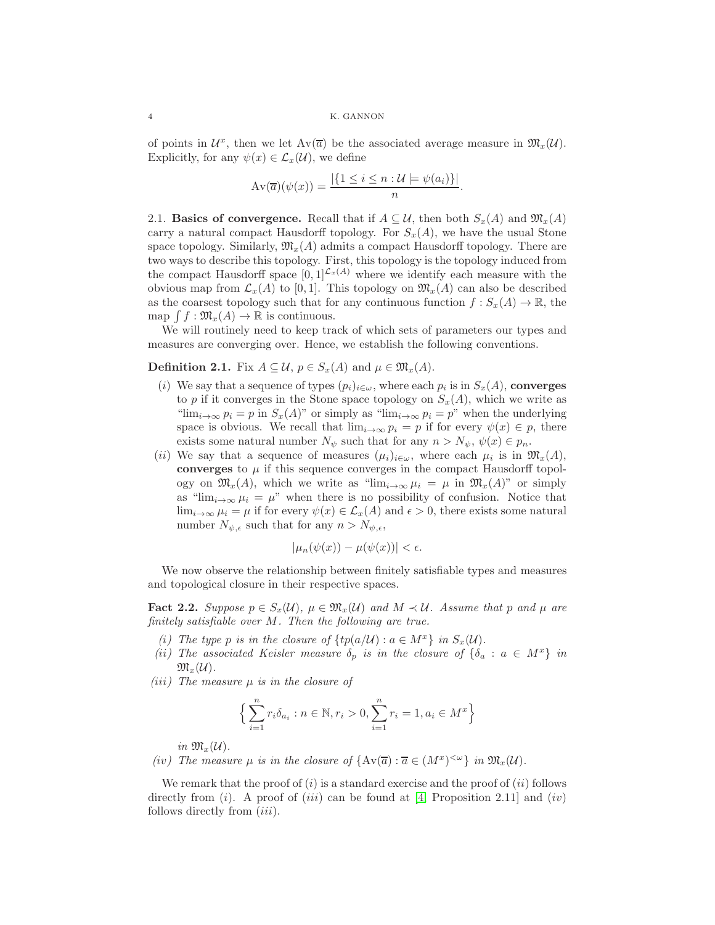of points in  $\mathcal{U}^x$ , then we let  $Av(\overline{a})$  be the associated average measure in  $\mathfrak{M}_x(\mathcal{U})$ . Explicitly, for any  $\psi(x) \in \mathcal{L}_x(\mathcal{U})$ , we define

$$
\operatorname{Av}(\overline{a})(\psi(x)) = \frac{|\{1 \le i \le n : U \models \psi(a_i)\}|}{n}.
$$

2.1. Basics of convergence. Recall that if  $A \subseteq U$ , then both  $S_x(A)$  and  $\mathfrak{M}_x(A)$ carry a natural compact Hausdorff topology. For  $S<sub>x</sub>(A)$ , we have the usual Stone space topology. Similarly,  $\mathfrak{M}_{x}(A)$  admits a compact Hausdorff topology. There are two ways to describe this topology. First, this topology is the topology induced from the compact Hausdorff space  $[0, 1]^{L_x(A)}$  where we identify each measure with the obvious map from  $\mathcal{L}_x(A)$  to [0, 1]. This topology on  $\mathfrak{M}_x(A)$  can also be described as the coarsest topology such that for any continuous function  $f : S_x(A) \to \mathbb{R}$ , the map  $\int f : \mathfrak{M}_x(A) \to \mathbb{R}$  is continuous.

We will routinely need to keep track of which sets of parameters our types and measures are converging over. Hence, we establish the following conventions.

**Definition 2.1.** Fix  $A \subseteq \mathcal{U}$ ,  $p \in S_x(A)$  and  $\mu \in \mathfrak{M}_x(A)$ .

- (i) We say that a sequence of types  $(p_i)_{i \in \omega}$ , where each  $p_i$  is in  $S_x(A)$ , converges to p if it converges in the Stone space topology on  $S_x(A)$ , which we write as " $\lim_{i\to\infty} p_i = p$  in  $S_x(A)$ " or simply as " $\lim_{i\to\infty} p_i = p$ " when the underlying space is obvious. We recall that  $\lim_{i\to\infty} p_i = p$  if for every  $\psi(x) \in p$ , there exists some natural number  $N_{\psi}$  such that for any  $n > N_{\psi}, \psi(x) \in p_n$ .
- (ii) We say that a sequence of measures  $(\mu_i)_{i \in \omega}$ , where each  $\mu_i$  is in  $\mathfrak{M}_x(A)$ , converges to  $\mu$  if this sequence converges in the compact Hausdorff topology on  $\mathfrak{M}_x(A)$ , which we write as "lim<sub>i→∞</sub>  $\mu_i = \mu$  in  $\mathfrak{M}_x(A)$ " or simply as " $\lim_{i\to\infty}\mu_i=\mu$ " when there is no possibility of confusion. Notice that  $\lim_{i\to\infty}\mu_i=\mu$  if for every  $\psi(x)\in\mathcal{L}_x(A)$  and  $\epsilon>0$ , there exists some natural number  $N_{\psi,\epsilon}$  such that for any  $n > N_{\psi,\epsilon}$ ,

$$
|\mu_n(\psi(x)) - \mu(\psi(x))| < \epsilon.
$$

We now observe the relationship between finitely satisfiable types and measures and topological closure in their respective spaces.

<span id="page-3-0"></span>**Fact 2.2.** Suppose  $p \in S_x(\mathcal{U})$ ,  $\mu \in \mathfrak{M}_x(\mathcal{U})$  and  $M \prec \mathcal{U}$ . Assume that p and  $\mu$  are *finitely satisfiable over* M*. Then the following are true.*

- *(i)* The type p is in the closure of  $\{tp(a/U) : a \in M^x\}$  in  $S_x(\mathcal{U})$ .
- *(ii)* The associated Keisler measure  $\delta_p$  *is in the closure of*  $\{\delta_a : a \in M^x\}$  *in*  $\mathfrak{M}_{x}(\mathcal{U})$ .
- *(*iii*) The measure* µ *is in the closure of*

$$
\Big\{\sum_{i=1}^{n} r_i \delta_{a_i} : n \in \mathbb{N}, r_i > 0, \sum_{i=1}^{n} r_i = 1, a_i \in M^x \Big\}
$$

*in*  $\mathfrak{M}_x(\mathcal{U})$ .

*(iv)* The measure  $\mu$  *is in the closure of*  $\{Av(\overline{a}) : \overline{a} \in (M^x)^{&\omega}\}\$ *in*  $\mathfrak{M}_x(\mathcal{U})$ *.* 

We remark that the proof of  $(i)$  is a standard exercise and the proof of  $(ii)$  follows directly from (*i*). A proof of (*iii*) can be found at [\[4,](#page-25-4) Proposition 2.11] and (*iv*) follows directly from *(iii)*.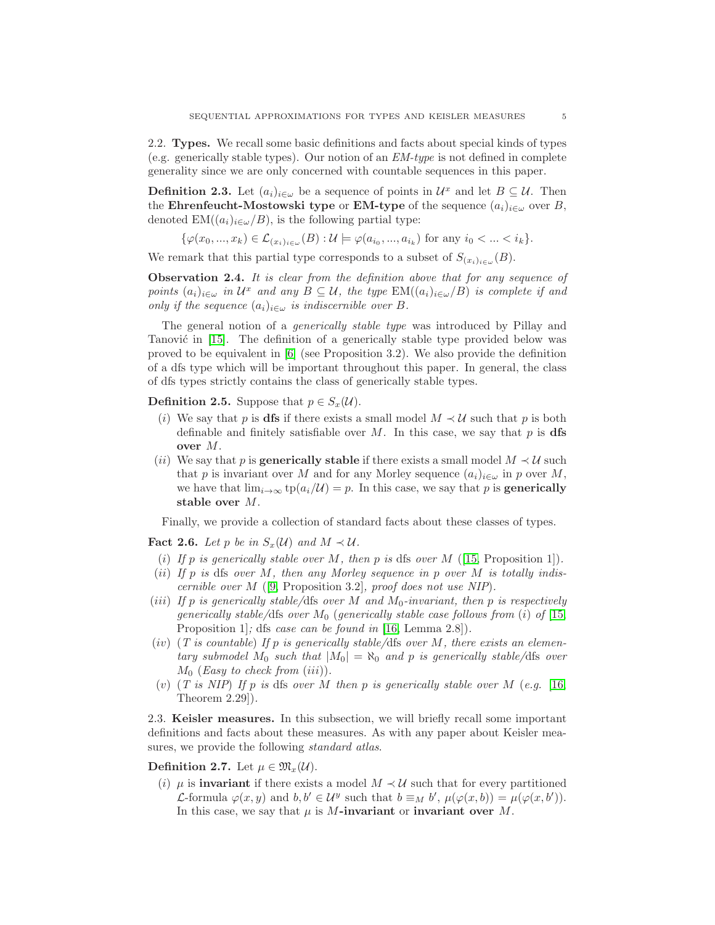2.2. Types. We recall some basic definitions and facts about special kinds of types (e.g. generically stable types). Our notion of an *EM-type* is not defined in complete generality since we are only concerned with countable sequences in this paper.

**Definition 2.3.** Let  $(a_i)_{i \in \omega}$  be a sequence of points in  $\mathcal{U}^x$  and let  $B \subseteq \mathcal{U}$ . Then the Ehrenfeucht-Mostowski type or EM-type of the sequence  $(a_i)_{i\in\omega}$  over B, denoted  $EM((a_i)_{i\in\omega}/B)$ , is the following partial type:

$$
\{\varphi(x_0, ..., x_k) \in \mathcal{L}_{(x_i)_{i \in \omega}}(B) : \mathcal{U} \models \varphi(a_{i_0}, ..., a_{i_k}) \text{ for any } i_0 < ... < i_k\}.
$$

We remark that this partial type corresponds to a subset of  $S_{(x_i)_{i\in\omega}}(B)$ .

Observation 2.4. *It is clear from the definition above that for any sequence of points*  $(a_i)_{i \in \omega}$  *in*  $\mathcal{U}^x$  *and any*  $B \subseteq \mathcal{U}$ *, the type*  $\text{EM}((a_i)_{i \in \omega}/B)$  *is complete if and only if the sequence*  $(a_i)_{i \in \omega}$  *is indiscernible over* B.

The general notion of a *generically stable type* was introduced by Pillay and Tanović in [\[15\]](#page-26-3). The definition of a generically stable type provided below was proved to be equivalent in  $[6]$  (see Proposition 3.2). We also provide the definition of a dfs type which will be important throughout this paper. In general, the class of dfs types strictly contains the class of generically stable types.

### **Definition 2.5.** Suppose that  $p \in S_x(\mathcal{U})$ .

- (i) We say that p is dfs if there exists a small model  $M \prec U$  such that p is both definable and finitely satisfiable over M. In this case, we say that p is dfs over M.
- (*ii*) We say that p is **generically stable** if there exists a small model  $M \prec U$  such that p is invariant over M and for any Morley sequence  $(a_i)_{i\in\omega}$  in p over M, we have that  $\lim_{i\to\infty}$  tp $(a_i/\mathcal{U}) = p$ . In this case, we say that p is **generically** stable over M.

Finally, we provide a collection of standard facts about these classes of types.

<span id="page-4-0"></span>Fact 2.6. Let p be in  $S_x(\mathcal{U})$  and  $M \prec \mathcal{U}$ .

- (i) If p is generically stable over M, then p is dfs over  $M$  ([\[15,](#page-26-3) Proposition 1]).
- (ii) *If* p *is* dfs *over* M*, then any Morley sequence in* p *over* M *is totally indiscernible over* M ([\[9,](#page-25-6) Proposition 3.2]*, proof does not use NIP*)*.*
- (iii) *If* p *is generically stable/*dfs *over* M *and* M0*-invariant, then* p *is respectively generically stable/dfs over*  $M_0$  (*generically stable case follows from* (i) of [\[15,](#page-26-3) Proposition 1]*;* dfs *case can be found in* [\[16,](#page-26-4) Lemma 2.8])*.*
- (iv) (*T is countable*) *If* p *is generically stable/*dfs *over* M*, there exists an elementary submodel*  $M_0$  *such that*  $|M_0| = \aleph_0$  *and p is generically stable/dfs over*  $M_0$  (*Easy to check from (iii)*).
- (v) (*T is NIP*) *If* p *is* dfs *over* M *then* p *is generically stable over* M (*e.g.* [\[16,](#page-26-4) Theorem 2.29])*.*

2.3. Keisler measures. In this subsection, we will briefly recall some important definitions and facts about these measures. As with any paper about Keisler measures, we provide the following *standard atlas*.

Definition 2.7. Let  $\mu \in \mathfrak{M}_{x}(\mathcal{U})$ .

(i)  $\mu$  is **invariant** if there exists a model  $M \prec U$  such that for every partitioned *L*-formula  $\varphi(x, y)$  and  $b, b' \in \mathcal{U}^y$  such that  $b \equiv_M b', \mu(\varphi(x, b)) = \mu(\varphi(x, b')).$ In this case, we say that  $\mu$  is M-invariant or invariant over M.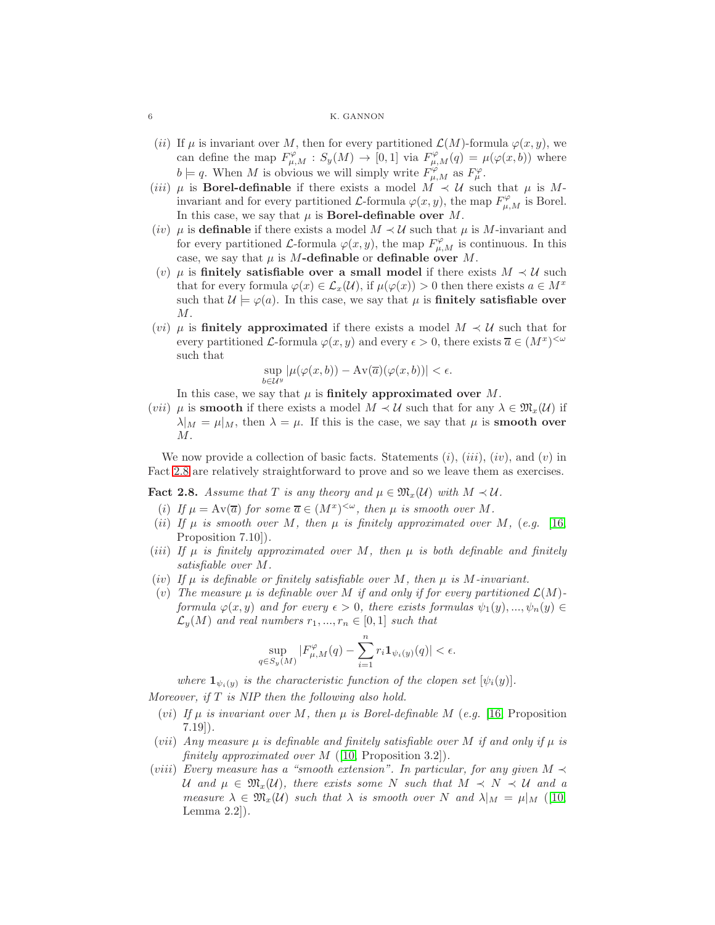- (ii) If  $\mu$  is invariant over M, then for every partitioned  $\mathcal{L}(M)$ -formula  $\varphi(x, y)$ , we can define the map  $F^{\varphi}_{\mu,M} : S_y(M) \to [0,1]$  via  $F^{\varphi}_{\mu,M}(q) = \mu(\varphi(x,b))$  where  $b \models q$ . When M is obvious we will simply write  $F^{\varphi}_{\mu,M}$  as  $F^{\varphi}_{\mu}$ .
- (*iii*)  $\mu$  is **Borel-definable** if there exists a model  $\overline{M} \prec \mathcal{U}$  such that  $\mu$  is  $M$ invariant and for every partitioned  $\mathcal{L}$ -formula  $\varphi(x, y)$ , the map  $F^{\varphi}_{\mu, M}$  is Borel. In this case, we say that  $\mu$  is **Borel-definable over**  $M$ .
- (iv)  $\mu$  is definable if there exists a model  $M \prec U$  such that  $\mu$  is M-invariant and for every partitioned L-formula  $\varphi(x, y)$ , the map  $F^{\varphi}_{\mu, M}$  is continuous. In this case, we say that  $\mu$  is M-definable or definable over M.
- (v)  $\mu$  is finitely satisfiable over a small model if there exists  $M \prec U$  such that for every formula  $\varphi(x) \in \mathcal{L}_x(\mathcal{U}),$  if  $\mu(\varphi(x)) > 0$  then there exists  $a \in M^x$ such that  $\mathcal{U} \models \varphi(a)$ . In this case, we say that  $\mu$  is **finitely satisfiable over** M.
- (*vi*)  $\mu$  is **finitely approximated** if there exists a model  $M \prec U$  such that for every partitioned L-formula  $\varphi(x, y)$  and every  $\epsilon > 0$ , there exists  $\overline{a} \in (M^x)^{<\omega}$ such that

$$
\sup_{b\in\mathcal{U}^y}|\mu(\varphi(x,b))-\operatorname{Av}(\overline{a})(\varphi(x,b))|<\epsilon.
$$

In this case, we say that  $\mu$  is finitely approximated over M.

(vii)  $\mu$  is **smooth** if there exists a model  $M \prec \mathcal{U}$  such that for any  $\lambda \in \mathfrak{M}_x(\mathcal{U})$  if  $\lambda|_M = \mu|_M$ , then  $\lambda = \mu$ . If this is the case, we say that  $\mu$  is **smooth over**  $M$ .

We now provide a collection of basic facts. Statements  $(i)$ ,  $(iii)$ ,  $(iv)$ , and  $(v)$  in Fact [2.8](#page-5-0) are relatively straightforward to prove and so we leave them as exercises.

<span id="page-5-0"></span>**Fact 2.8.** Assume that T is any theory and  $\mu \in \mathfrak{M}_x(\mathcal{U})$  with  $M \prec \mathcal{U}$ .

- (i) If  $\mu = Av(\overline{a})$  for some  $\overline{a} \in (M^x)^{<\omega}$ , then  $\mu$  is smooth over M.
- (*ii*) If  $\mu$  *is smooth over* M, then  $\mu$  *is finitely approximated over* M, (*e.g.* [\[16,](#page-26-4) Proposition 7.10])*.*
- (*iii*) If  $\mu$  *is finitely approximated over* M, then  $\mu$  *is both definable and finitely satisfiable over* M*.*
- (*iv*) If  $\mu$  *is definable or finitely satisfiable over*  $M$ *, then*  $\mu$  *is*  $M$ *-invariant.*
- (v) The measure  $\mu$  is definable over M if and only if for every partitioned  $\mathcal{L}(M)$ *formula*  $\varphi(x, y)$  *and for every*  $\epsilon > 0$ *, there exists formulas*  $\psi_1(y), ..., \psi_n(y) \in$  $\mathcal{L}_y(M)$  *and real numbers*  $r_1, ..., r_n \in [0,1]$  *such that*

$$
\sup_{q\in S_y(M)}|F_{\mu,M}^{\varphi}(q)-\sum_{i=1}^n r_i\mathbf{1}_{\psi_i(y)}(q)|<\epsilon.
$$

*where*  $\mathbf{1}_{\psi_i(y)}$  *is the characteristic function of the clopen set*  $[\psi_i(y)]$ *. Moreover, if* T *is NIP then the following also hold.*

- (vi) *If* µ *is invariant over* M*, then* µ *is Borel-definable* M (*e.g.* [\[16,](#page-26-4) Proposition 7.19])*.*
- (*vii*) *Any measure*  $\mu$  *is definable and finitely satisfiable over* M *if and only if*  $\mu$  *is finitely approximated over* M ([\[10,](#page-25-2) Proposition 3.2])*.*
- (viii) *Every measure has a "smooth extension". In particular, for any given*  $M \nless$ U and  $\mu \in \mathfrak{M}_x(\mathcal{U})$ , there exists some N such that  $M \prec N \prec U$  and a *measure*  $\lambda \in \mathfrak{M}_x(\mathcal{U})$  *such that*  $\lambda$  *is smooth over* N *and*  $\lambda|_M = \mu|_M$  ([\[10,](#page-25-2) Lemma 2.2])*.*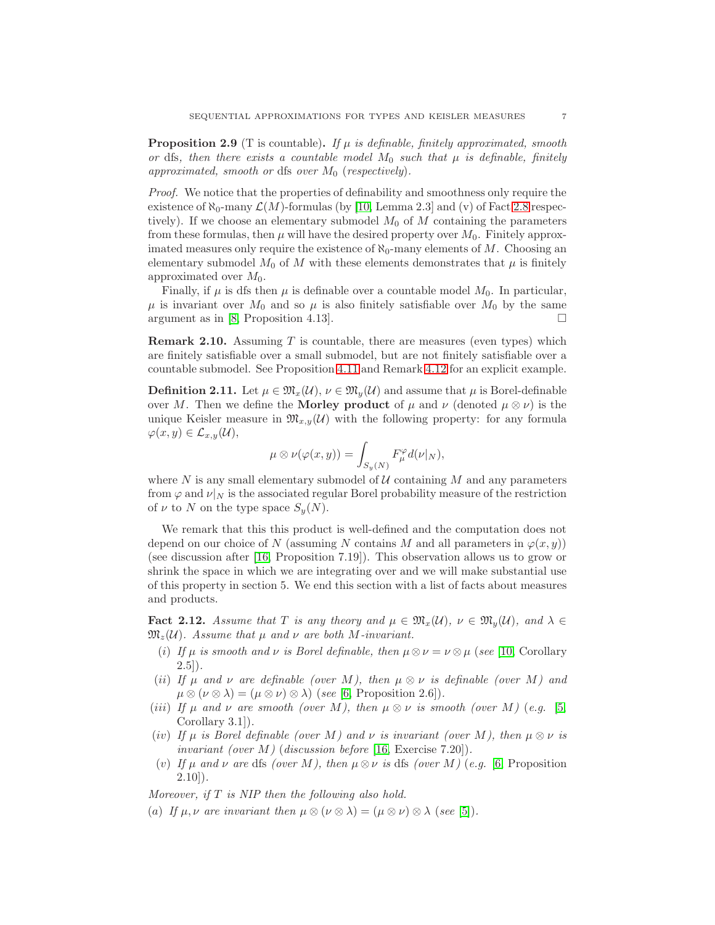<span id="page-6-1"></span>**Proposition 2.9** (T is countable). If  $\mu$  is definable, finitely approximated, smooth *or* dfs, then there exists a countable model  $M_0$  such that  $\mu$  is definable, finitely *approximated, smooth or dfs over*  $M_0$  (*respectively*).

*Proof.* We notice that the properties of definability and smoothness only require the existence of  $\aleph_0$ -many  $\mathcal{L}(M)$ -formulas (by [\[10,](#page-25-2) Lemma 2.3] and (v) of Fact [2.8](#page-5-0) respectively). If we choose an elementary submodel  $M_0$  of M containing the parameters from these formulas, then  $\mu$  will have the desired property over  $M_0$ . Finitely approximated measures only require the existence of  $\aleph_0$ -many elements of M. Choosing an elementary submodel  $M_0$  of M with these elements demonstrates that  $\mu$  is finitely approximated over  $M_0$ .

Finally, if  $\mu$  is dfs then  $\mu$  is definable over a countable model  $M_0$ . In particular,  $\mu$  is invariant over  $M_0$  and so  $\mu$  is also finitely satisfiable over  $M_0$  by the same argument as in [\[8,](#page-25-0) Proposition 4.13].

**Remark 2.10.** Assuming  $T$  is countable, there are measures (even types) which are finitely satisfiable over a small submodel, but are not finitely satisfiable over a countable submodel. See Proposition [4.11](#page-14-0) and Remark [4.12](#page-15-1) for an explicit example.

**Definition 2.11.** Let  $\mu \in \mathfrak{M}_x(\mathcal{U}), \nu \in \mathfrak{M}_y(\mathcal{U})$  and assume that  $\mu$  is Borel-definable over M. Then we define the **Morley product** of  $\mu$  and  $\nu$  (denoted  $\mu \otimes \nu$ ) is the unique Keisler measure in  $\mathfrak{M}_{x,y}(\mathcal{U})$  with the following property: for any formula  $\varphi(x, y) \in \mathcal{L}_{x, y}(\mathcal{U}),$ 

$$
\mu\otimes\nu(\varphi(x,y))=\int_{S_y(N)}F^\varphi_\mu d(\nu|_N),
$$

where  $N$  is any small elementary submodel of  $U$  containing  $M$  and any parameters from  $\varphi$  and  $\nu|_N$  is the associated regular Borel probability measure of the restriction of  $\nu$  to N on the type space  $S_u(N)$ .

We remark that this this product is well-defined and the computation does not depend on our choice of N (assuming N contains M and all parameters in  $\varphi(x, y)$ ) (see discussion after [\[16,](#page-26-4) Proposition 7.19]). This observation allows us to grow or shrink the space in which we are integrating over and we will make substantial use of this property in section 5. We end this section with a list of facts about measures and products.

<span id="page-6-0"></span>**Fact 2.12.** Assume that T is any theory and  $\mu \in \mathfrak{M}_x(\mathcal{U})$ ,  $\nu \in \mathfrak{M}_y(\mathcal{U})$ , and  $\lambda \in$  $\mathfrak{M}_{z}(\mathcal{U})$ *. Assume that*  $\mu$  *and*  $\nu$  *are both M*-*invariant.* 

- (i) If  $\mu$  is smooth and  $\nu$  is Borel definable, then  $\mu \otimes \nu = \nu \otimes \mu$  (see [\[10,](#page-25-2) Corollary 2.5])*.*
- (*ii*) *If*  $\mu$  *and*  $\nu$  *are definable (over* M), *then*  $\mu \otimes \nu$  *is definable (over* M) *and*  $\mu \otimes (\nu \otimes \lambda) = (\mu \otimes \nu) \otimes \lambda$  (*see* [\[6,](#page-25-5) Proposition 2.6]).
- (*iii*) *If*  $\mu$  *and*  $\nu$  *are smooth (over M*), *then*  $\mu \otimes \nu$  *is smooth (over M*) (*e.g.* [\[5,](#page-25-7) Corollary 3.1])*.*
- (*iv*) If  $\mu$  *is Borel definable (over* M) and  $\nu$  *is invariant (over* M), then  $\mu \otimes \nu$  *is invariant (over* M*)* (*discussion before* [\[16,](#page-26-4) Exercise 7.20])*.*
- (v) If  $\mu$  and  $\nu$  are dfs (over M), then  $\mu \otimes \nu$  is dfs (over M) (e.g. [\[6,](#page-25-5) Proposition 2.10])*.*

*Moreover, if* T *is NIP then the following also hold.*

(a) If  $\mu, \nu$  are invariant then  $\mu \otimes (\nu \otimes \lambda) = (\mu \otimes \nu) \otimes \lambda$  (see [\[5\]](#page-25-7)).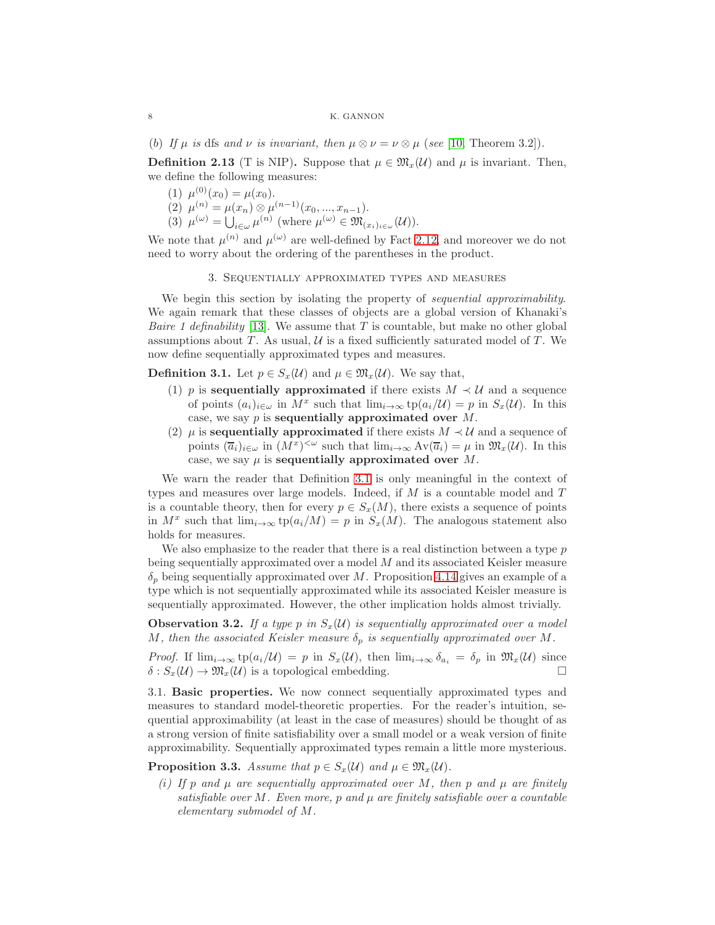(b) If  $\mu$  is dfs and  $\nu$  *is invariant, then*  $\mu \otimes \nu = \nu \otimes \mu$  (*see* [\[10,](#page-25-2) Theorem 3.2]).

**Definition 2.13** (T is NIP). Suppose that  $\mu \in \mathfrak{M}_{\tau}(\mathcal{U})$  and  $\mu$  is invariant. Then, we define the following measures:

- (1)  $\mu^{(0)}(x_0) = \mu(x_0)$ .
- (2)  $\mu^{(n)} = \mu(x_n) \otimes \mu^{(n-1)}(x_0, ..., x_{n-1}).$
- (3)  $\mu^{(\omega)} = \bigcup_{i \in \omega} \mu^{(n)}$  (where  $\mu^{(\omega)} \in \mathfrak{M}_{(x_i)_{i \in \omega}}(\mathcal{U})$ ).

We note that  $\mu^{(n)}$  and  $\mu^{(\omega)}$  are well-defined by Fact [2.12,](#page-6-0) and moreover we do not need to worry about the ordering of the parentheses in the product.

# 3. Sequentially approximated types and measures

We begin this section by isolating the property of *sequential approximability*. We again remark that these classes of objects are a global version of Khanaki's *Baire 1 definability* [\[13\]](#page-26-1). We assume that T is countable, but make no other global assumptions about  $T$ . As usual,  $\mathcal U$  is a fixed sufficiently saturated model of  $T$ . We now define sequentially approximated types and measures.

<span id="page-7-0"></span>**Definition 3.1.** Let  $p \in S_x(\mathcal{U})$  and  $\mu \in \mathfrak{M}_x(\mathcal{U})$ . We say that,

- (1) p is sequentially approximated if there exists  $M \prec U$  and a sequence of points  $(a_i)_{i \in \omega}$  in  $M^x$  such that  $\lim_{i \to \infty} \operatorname{tp}(a_i/\mathcal{U}) = p$  in  $S_x(\mathcal{U})$ . In this case, we say  $p$  is sequentially approximated over  $M$ .
- (2)  $\mu$  is **sequentially approximated** if there exists  $M \prec U$  and a sequence of points  $(\overline{a}_i)_{i\in\omega}$  in  $(M^x)^{<\omega}$  such that  $\lim_{i\to\infty} Av(\overline{a}_i) = \mu$  in  $\mathfrak{M}_x(\mathcal{U})$ . In this case, we say  $\mu$  is sequentially approximated over M.

We warn the reader that Definition [3.1](#page-7-0) is only meaningful in the context of types and measures over large models. Indeed, if  $M$  is a countable model and  $T$ is a countable theory, then for every  $p \in S_x(M)$ , there exists a sequence of points in  $M^x$  such that  $\lim_{i\to\infty} \text{tp}(a_i/M) = p$  in  $S_x(M)$ . The analogous statement also holds for measures.

We also emphasize to the reader that there is a real distinction between a type  $p$ being sequentially approximated over a model M and its associated Keisler measure  $\delta_p$  being sequentially approximated over M. Proposition [4.14](#page-15-0) gives an example of a type which is not sequentially approximated while its associated Keisler measure is sequentially approximated. However, the other implication holds almost trivially.

<span id="page-7-1"></span>**Observation 3.2.** If a type p in  $S_x(\mathcal{U})$  is sequentially approximated over a model M, then the associated Keisler measure  $\delta_p$  is sequentially approximated over M.

*Proof.* If  $\lim_{i\to\infty}$  tp $(a_i/\mathcal{U}) = p$  in  $S_x(\mathcal{U})$ , then  $\lim_{i\to\infty} \delta_{a_i} = \delta_p$  in  $\mathfrak{M}_x(\mathcal{U})$  since  $\delta$ :  $S_x(\mathcal{U}) \to \mathfrak{M}_x(\mathcal{U})$  is a topological embedding.

3.1. Basic properties. We now connect sequentially approximated types and measures to standard model-theoretic properties. For the reader's intuition, sequential approximability (at least in the case of measures) should be thought of as a strong version of finite satisfiability over a small model or a weak version of finite approximability. Sequentially approximated types remain a little more mysterious.

<span id="page-7-2"></span>**Proposition 3.3.** *Assume that*  $p \in S_x(\mathcal{U})$  *and*  $\mu \in \mathfrak{M}_x(\mathcal{U})$ *.* 

 $(i)$  If p and  $\mu$  are sequentially approximated over M, then p and  $\mu$  are finitely *satisfiable over* M*. Even more,* p *and* µ *are finitely satisfiable over a countable elementary submodel of* M*.*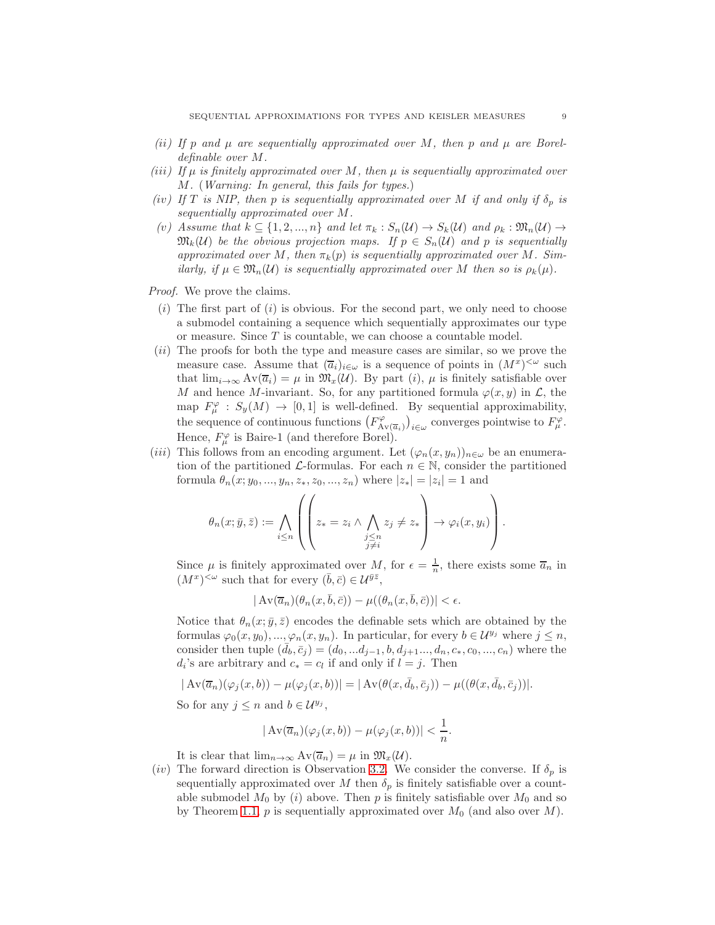- $(i)$  If p and  $\mu$  are sequentially approximated over M, then p and  $\mu$  are Borel*definable over* M*.*
- *(*iii*) If* µ *is finitely approximated over* M*, then* µ *is sequentially approximated over* M*.* (*Warning: In general, this fails for types.*)
- *(iv)* If T is NIP, then p is sequentially approximated over M if and only if  $\delta_p$  is *sequentially approximated over* M*.*
- *(v)* Assume that  $k \subseteq \{1, 2, ..., n\}$  and let  $\pi_k : S_n(\mathcal{U}) \to S_k(\mathcal{U})$  and  $\rho_k : \mathfrak{M}_n(\mathcal{U}) \to$  $\mathfrak{M}_k(\mathcal{U})$  be the obvious projection maps. If  $p \in S_n(\mathcal{U})$  and p is sequentially *approximated over*  $M$ , then  $\pi_k(p)$  *is sequentially approximated over*  $M$ *. Similarly, if*  $\mu \in \mathfrak{M}_n(\mathcal{U})$  *is sequentially approximated over* M *then so is*  $\rho_k(\mu)$ *.*

*Proof.* We prove the claims.

- $(i)$  The first part of  $(i)$  is obvious. For the second part, we only need to choose a submodel containing a sequence which sequentially approximates our type or measure. Since  $T$  is countable, we can choose a countable model.
- (ii) The proofs for both the type and measure cases are similar, so we prove the measure case. Assume that  $(\overline{a}_i)_{i \in \omega}$  is a sequence of points in  $(M^x)^{<\omega}$  such that  $\lim_{i\to\infty} Av(\overline{a}_i) = \mu$  in  $\mathfrak{M}_x(\mathcal{U})$ . By part  $(i)$ ,  $\mu$  is finitely satisfiable over M and hence M-invariant. So, for any partitioned formula  $\varphi(x, y)$  in  $\mathcal{L}$ , the map  $F^{\varphi}_{\mu} : S_{y}(M) \to [0,1]$  is well-defined. By sequential approximability, the sequence of continuous functions  $(F_A^{\varphi})$  $\int_{A\vee(\overline{a}_i)}^{\varphi}$  converges pointwise to  $F^{\varphi}_{\mu}$ . Hence,  $F^{\varphi}_{\mu}$  is Baire-1 (and therefore Borel).
- (iii) This follows from an encoding argument. Let  $(\varphi_n(x, y_n))_{n \in \omega}$  be an enumeration of the partitioned  $\mathcal{L}$ -formulas. For each  $n \in \mathbb{N}$ , consider the partitioned formula  $\theta_n(x; y_0, ..., y_n, z_*, z_0, ..., z_n)$  where  $|z_*| = |z_i| = 1$  and

$$
\theta_n(x; \bar{y}, \bar{z}) := \bigwedge_{i \leq n} \left( \left( z_* = z_i \land \bigwedge_{\substack{j \leq n \\ j \neq i}} z_j \neq z_* \right) \to \varphi_i(x, y_i) \right).
$$

Since  $\mu$  is finitely approximated over M, for  $\epsilon = \frac{1}{n}$ , there exists some  $\overline{a}_n$  in  $(M^x)^{<\omega}$  such that for every  $(\bar{b}, \bar{c}) \in \mathcal{U}^{\bar{y}\bar{z}},$ 

$$
|\operatorname{Av}(\overline{a}_n)(\theta_n(x,\bar{b},\bar{c})) - \mu((\theta_n(x,\bar{b},\bar{c}))| < \epsilon.
$$

Notice that  $\theta_n(x; \bar{y}, \bar{z})$  encodes the definable sets which are obtained by the formulas  $\varphi_0(x, y_0), ..., \varphi_n(x, y_n)$ . In particular, for every  $b \in \mathcal{U}^{y_j}$  where  $j \leq n$ , consider then tuple  $(d_b, \bar{c}_j) = (d_0, ... d_{j-1}, b, d_{j+1}, ..., d_n, c_*, c_0, ..., c_n)$  where the  $d_i$ 's are arbitrary and  $c_* = c_l$  if and only if  $l = j$ . Then

$$
|\operatorname{Av}(\overline{a}_n)(\varphi_j(x,b)) - \mu(\varphi_j(x,b))| = |\operatorname{Av}(\theta(x,\overline{d}_b,\overline{c}_j)) - \mu((\theta(x,\overline{d}_b,\overline{c}_j))|.
$$

So for any  $j \leq n$  and  $b \in \mathcal{U}^{y_j}$ ,

$$
|\operatorname{Av}(\overline{a}_n)(\varphi_j(x,b)) - \mu(\varphi_j(x,b))| < \frac{1}{n}.
$$

It is clear that  $\lim_{n\to\infty} Av(\overline{a}_n) = \mu$  in  $\mathfrak{M}_x(\mathcal{U})$ .

(iv) The forward direction is Observation [3.2.](#page-7-1) We consider the converse. If  $\delta_p$  is sequentially approximated over M then  $\delta_p$  is finitely satisfiable over a countable submodel  $M_0$  by (i) above. Then p is finitely satisfiable over  $M_0$  and so by Theorem [1.1,](#page-0-0) p is sequentially approximated over  $M_0$  (and also over M).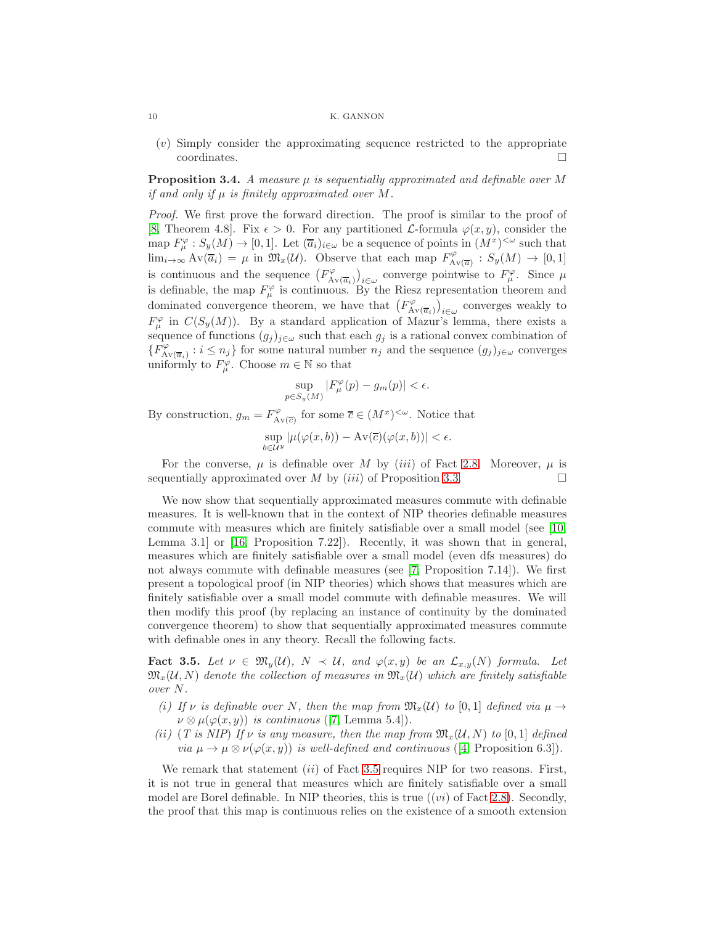(v) Simply consider the approximating sequence restricted to the appropriate coordinates.  $\hfill \square$ 

<span id="page-9-0"></span>Proposition 3.4. *A measure*  $\mu$  *is sequentially approximated and definable over* M *if and only if*  $\mu$  *is finitely approximated over*  $M$ .

*Proof.* We first prove the forward direction. The proof is similar to the proof of [\[8,](#page-25-0) Theorem 4.8]. Fix  $\epsilon > 0$ . For any partitioned *L*-formula  $\varphi(x, y)$ , consider the map  $F^{\varphi}_{\mu}: S_{y}(M) \to [0,1].$  Let  $(\overline{a}_{i})_{i \in \omega}$  be a sequence of points in  $(M^{x})^{\leq \omega}$  such that  $\lim_{i\to\infty} Av(\overline{a}_i) = \mu$  in  $\mathfrak{M}_x(\mathcal{U})$ . Observe that each map  $F_A^{\varphi}$  $S_{\rm AV(\overline{a})}^{\varphi}:S_y(M)\rightarrow [0,1]$ is continuous and the sequence  $(F_A^{\varphi})$  $\int_{A\mathbf{v}(\overline{a}_i)}^{\varphi} f_{i\in\omega}$  converge pointwise to  $F^{\varphi}_{\mu}$ . Since  $\mu$ is definable, the map  $F^{\varphi}_{\mu}$  is continuous. By the Riesz representation theorem and dominated convergence theorem, we have that  $(F_A^{\varphi})$  $\binom{\varphi}{\mathrm{Av}(\overline{a}_i)}_{i\in\omega}$  converges weakly to  $F^{\varphi}_{\mu}$  in  $C(S_y(M))$ . By a standard application of Mazur's lemma, there exists a sequence of functions  $(g_j)_{j\in\omega}$  such that each  $g_j$  is a rational convex combination of  $\{\overline{F}_\mathrm{A}^\varphi$  $A_{N(\overline{a}_i)}$ :  $i \leq n_j$  for some natural number  $n_j$  and the sequence  $(g_j)_{j \in \omega}$  converges uniformly to  $F^{\varphi}_{\mu}$ . Choose  $m \in \mathbb{N}$  so that

$$
\sup_{p \in S_y(M)} |F_{\mu}^{\varphi}(p) - g_m(p)| < \epsilon.
$$

By construction,  $g_m = F_A^{\varphi}$  $\overline{A}_{V(\overline{c})}$  for some  $\overline{c} \in (M^x)^{<\omega}$ . Notice that

$$
\sup_{b \in \mathcal{U}^y} |\mu(\varphi(x, b)) - \mathrm{Av}(\overline{c})(\varphi(x, b))| < \epsilon.
$$

For the converse,  $\mu$  is definable over M by *(iii)* of Fact [2.8.](#page-5-0) Moreover,  $\mu$  is sequentially approximated over M by  $(iii)$  of Proposition [3.3.](#page-7-2)

We now show that sequentially approximated measures commute with definable measures. It is well-known that in the context of NIP theories definable measures commute with measures which are finitely satisfiable over a small model (see [\[10,](#page-25-2) Lemma 3.1] or [\[16,](#page-26-4) Proposition 7.22]). Recently, it was shown that in general, measures which are finitely satisfiable over a small model (even dfs measures) do not always commute with definable measures (see [\[7,](#page-25-8) Proposition 7.14]). We first present a topological proof (in NIP theories) which shows that measures which are finitely satisfiable over a small model commute with definable measures. We will then modify this proof (by replacing an instance of continuity by the dominated convergence theorem) to show that sequentially approximated measures commute with definable ones in any theory. Recall the following facts.

<span id="page-9-1"></span>**Fact 3.5.** Let  $\nu \in \mathfrak{M}_y(\mathcal{U})$ ,  $N \prec \mathcal{U}$ , and  $\varphi(x, y)$  be an  $\mathcal{L}_{x,y}(N)$  formula. Let  $\mathfrak{M}_{x}(\mathcal{U}, N)$  denote the collection of measures in  $\mathfrak{M}_{x}(\mathcal{U})$  which are finitely satisfiable *over* N*.*

- *(i)* If v is definable over N, then the map from  $\mathfrak{M}_x(\mathcal{U})$  to [0, 1] defined via  $\mu \to$  $\nu \otimes \mu(\varphi(x, y))$  *is continuous* ([\[7,](#page-25-8) Lemma 5.4]).
- *(ii)* (*T* is NIP) If v is any measure, then the map from  $\mathfrak{M}_{x}(\mathcal{U}, N)$  to [0, 1] defined *via*  $\mu \to \mu \otimes \nu(\varphi(x, y))$  *is well-defined and continuous* ([\[4,](#page-25-4) Proposition 6.3]).

We remark that statement  $(ii)$  of Fact [3.5](#page-9-1) requires NIP for two reasons. First, it is not true in general that measures which are finitely satisfiable over a small model are Borel definable. In NIP theories, this is true  $((vi)$  of Fact [2.8\)](#page-5-0). Secondly, the proof that this map is continuous relies on the existence of a smooth extension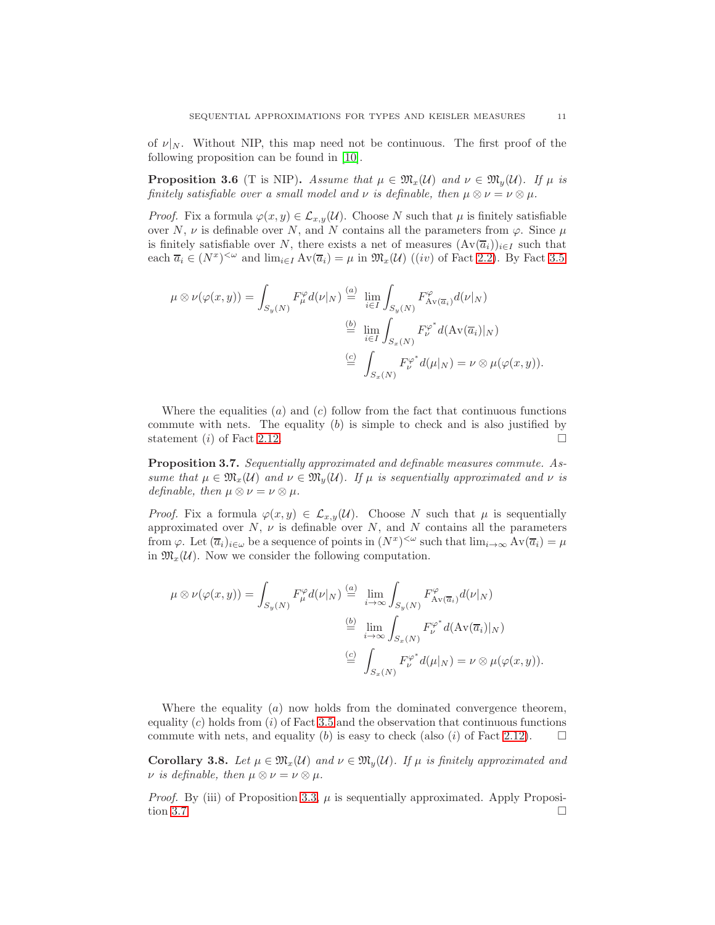of  $\nu|_N$ . Without NIP, this map need not be continuous. The first proof of the following proposition can be found in [\[10\]](#page-25-2).

**Proposition 3.6** (T is NIP). Assume that  $\mu \in \mathfrak{M}_x(\mathcal{U})$  and  $\nu \in \mathfrak{M}_y(\mathcal{U})$ . If  $\mu$  is *finitely satisfiable over a small model and*  $\nu$  *is definable, then*  $\mu \otimes \nu = \nu \otimes \mu$ *.* 

*Proof.* Fix a formula  $\varphi(x, y) \in \mathcal{L}_{x, y}(\mathcal{U})$ . Choose N such that  $\mu$  is finitely satisfiable over N,  $\nu$  is definable over N, and N contains all the parameters from  $\varphi$ . Since  $\mu$ is finitely satisfiable over N, there exists a net of measures  $(\text{Av}(\overline{a}_i))_{i\in I}$  such that each  $\overline{a}_i \in (N^x)^{<\omega}$  and  $\lim_{i\in I} Av(\overline{a}_i) = \mu$  in  $\mathfrak{M}_x(\mathcal{U})$  ((*iv*) of Fact [2.2\)](#page-3-0). By Fact [3.5](#page-9-1)

$$
\mu \otimes \nu(\varphi(x, y)) = \int_{S_y(N)} F^{\varphi}_{\mu} d(\nu|_N) \stackrel{(a)}{=} \lim_{i \in I} \int_{S_y(N)} F^{\varphi}_{Av(\overline{a}_i)} d(\nu|_N)
$$

$$
\stackrel{(b)}{=} \lim_{i \in I} \int_{S_x(N)} F^{\varphi^*}_{\nu} d(Av(\overline{a}_i)|_N)
$$

$$
\stackrel{(c)}{=} \int_{S_x(N)} F^{\varphi^*}_{\nu} d(\mu|_N) = \nu \otimes \mu(\varphi(x, y)).
$$

Where the equalities  $(a)$  and  $(c)$  follow from the fact that continuous functions commute with nets. The equality  $(b)$  is simple to check and is also justified by statement (*i*) of Fact [2.12.](#page-6-0)

<span id="page-10-0"></span>Proposition 3.7. *Sequentially approximated and definable measures commute. Assume that*  $\mu \in \mathfrak{M}_x(\mathcal{U})$  *and*  $\nu \in \mathfrak{M}_y(\mathcal{U})$ *. If*  $\mu$  *is sequentially approximated and*  $\nu$  *is definable, then*  $\mu \otimes \nu = \nu \otimes \mu$ *.* 

*Proof.* Fix a formula  $\varphi(x, y) \in \mathcal{L}_{x,y}(\mathcal{U})$ . Choose N such that  $\mu$  is sequentially approximated over  $N$ ,  $\nu$  is definable over  $N$ , and  $N$  contains all the parameters from  $\varphi$ . Let  $(\overline{a}_i)_{i \in \omega}$  be a sequence of points in  $(N^x)^{<\omega}$  such that  $\lim_{i \to \infty} Av(\overline{a}_i) = \mu$ in  $\mathfrak{M}_{x}(\mathcal{U})$ . Now we consider the following computation.

$$
\mu \otimes \nu(\varphi(x, y)) = \int_{S_y(N)} F^{\varphi}_{\mu} d(\nu|_N) \stackrel{(a)}{=} \lim_{i \to \infty} \int_{S_y(N)} F^{\varphi}_{A\vee(\overline{a}_i)} d(\nu|_N)
$$

$$
\stackrel{(b)}{=} \lim_{i \to \infty} \int_{S_x(N)} F^{\varphi^*}_{\nu} d(A\vee(\overline{a}_i)|_N)
$$

$$
\stackrel{(c)}{=} \int_{S_x(N)} F^{\varphi^*}_{\nu} d(\mu|_N) = \nu \otimes \mu(\varphi(x, y)).
$$

Where the equality  $(a)$  now holds from the dominated convergence theorem, equality  $(c)$  holds from  $(i)$  of Fact [3.5](#page-9-1) and the observation that continuous functions commute with nets, and equality (b) is easy to check (also (i) of Fact [2.12\)](#page-6-0).  $\Box$ 

**Corollary 3.8.** Let  $\mu \in \mathfrak{M}_x(\mathcal{U})$  and  $\nu \in \mathfrak{M}_y(\mathcal{U})$ . If  $\mu$  is finitely approximated and  $\nu$  *is definable, then*  $\mu \otimes \nu = \nu \otimes \mu$ *.* 

*Proof.* By (iii) of Proposition [3.3,](#page-7-2)  $\mu$  is sequentially approximated. Apply Proposi-tion [3.7.](#page-10-0)  $\Box$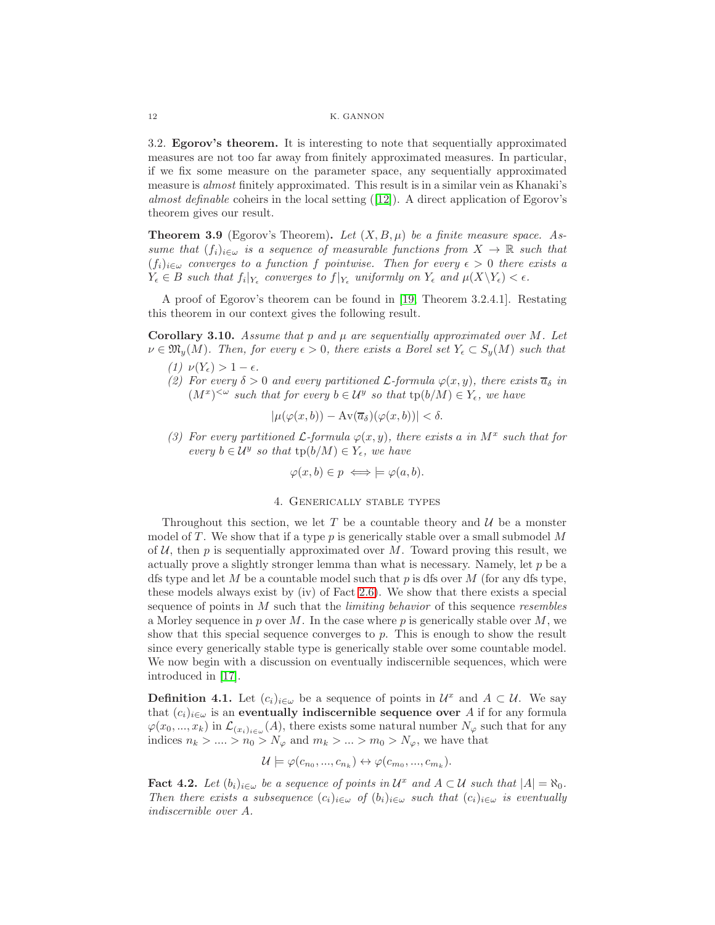3.2. Egorov's theorem. It is interesting to note that sequentially approximated measures are not too far away from finitely approximated measures. In particular, if we fix some measure on the parameter space, any sequentially approximated measure is *almost* finitely approximated. This result is in a similar vein as Khanaki's *almost definable* coheirs in the local setting ([\[12\]](#page-25-9)). A direct application of Egorov's theorem gives our result.

**Theorem 3.9** (Egorov's Theorem). Let  $(X, B, \mu)$  be a finite measure space. As*sume that*  $(f_i)_{i \in \omega}$  *is a sequence of measurable functions from*  $X \to \mathbb{R}$  *such that*  $(f_i)_{i \in \omega}$  *converges to a function* f *pointwise. Then for every*  $\epsilon > 0$  *there exists a*  $Y_{\epsilon} \in B$  such that  $f_i|_{Y_{\epsilon}}$  converges to  $f|_{Y_{\epsilon}}$  uniformly on  $Y_{\epsilon}$  and  $\mu(X \backslash Y_{\epsilon}) < \epsilon$ .

A proof of Egorov's theorem can be found in [\[19,](#page-26-5) Theorem 3.2.4.1]. Restating this theorem in our context gives the following result.

Corollary 3.10. *Assume that* p *and* µ *are sequentially approximated over* M*. Let*  $\nu \in \mathfrak{M}_{\nu}(M)$ *. Then, for every*  $\epsilon > 0$ *, there exists a Borel set*  $Y_{\epsilon} \subset S_{\nu}(M)$  *such that* 

- $(1)$   $\nu(Y_{\epsilon}) > 1 \epsilon$ *.*
- *(2) For every*  $\delta > 0$  *and every partitioned L*-formula  $\varphi(x, y)$ *, there exists*  $\overline{a}_{\delta}$  *in*  $(M^x)^{<\omega}$  such that for every  $b \in \mathcal{U}^y$  so that  $tp(b/M) \in Y_\epsilon$ *, we have*

$$
|\mu(\varphi(x,b)) - \operatorname{Av}(\overline{a}_{\delta})(\varphi(x,b))| < \delta.
$$

(3) For every partitioned  $\mathcal{L}$ -formula  $\varphi(x, y)$ , there exists a *in*  $M^x$  such that for *every*  $b \in \mathcal{U}^y$  *so that*  $tp(b/M) \in Y_\epsilon$ *, we have* 

$$
\varphi(x,b) \in p \iff \models \varphi(a,b).
$$

# 4. Generically stable types

Throughout this section, we let T be a countable theory and  $\mathcal{U}$  be a monster model of T. We show that if a type  $p$  is generically stable over a small submodel M of  $U$ , then p is sequentially approximated over M. Toward proving this result, we actually prove a slightly stronger lemma than what is necessary. Namely, let  $p$  be a dfs type and let  $M$  be a countable model such that  $p$  is dfs over  $M$  (for any dfs type, these models always exist by (iv) of Fact [2.6\)](#page-4-0). We show that there exists a special sequence of points in M such that the *limiting behavior* of this sequence *resembles* a Morley sequence in p over M. In the case where p is generically stable over  $M$ , we show that this special sequence converges to  $p$ . This is enough to show the result since every generically stable type is generically stable over some countable model. We now begin with a discussion on eventually indiscernible sequences, which were introduced in [\[17\]](#page-26-0).

**Definition 4.1.** Let  $(c_i)_{i \in \omega}$  be a sequence of points in  $\mathcal{U}^x$  and  $A \subset \mathcal{U}$ . We say that  $(c_i)_{i \in \omega}$  is an eventually indiscernible sequence over A if for any formula  $\varphi(x_0, ..., x_k)$  in  $\mathcal{L}_{(x_i)_{i \in \omega}}(A)$ , there exists some natural number  $N_{\varphi}$  such that for any indices  $n_k > ... > n_0 > N_{\varphi}$  and  $m_k > ... > m_0 > N_{\varphi}$ , we have that

$$
\mathcal{U} \models \varphi(c_{n_0}, ..., c_{n_k}) \leftrightarrow \varphi(c_{m_0}, ..., c_{m_k}).
$$

<span id="page-11-0"></span>Fact 4.2. Let  $(b_i)_{i \in \omega}$  be a sequence of points in  $\mathcal{U}^x$  and  $A \subset \mathcal{U}$  such that  $|A| = \aleph_0$ . *Then there exists a subsequence*  $(c_i)_{i \in \omega}$  *of*  $(b_i)_{i \in \omega}$  *such that*  $(c_i)_{i \in \omega}$  *is eventually indiscernible over* A*.*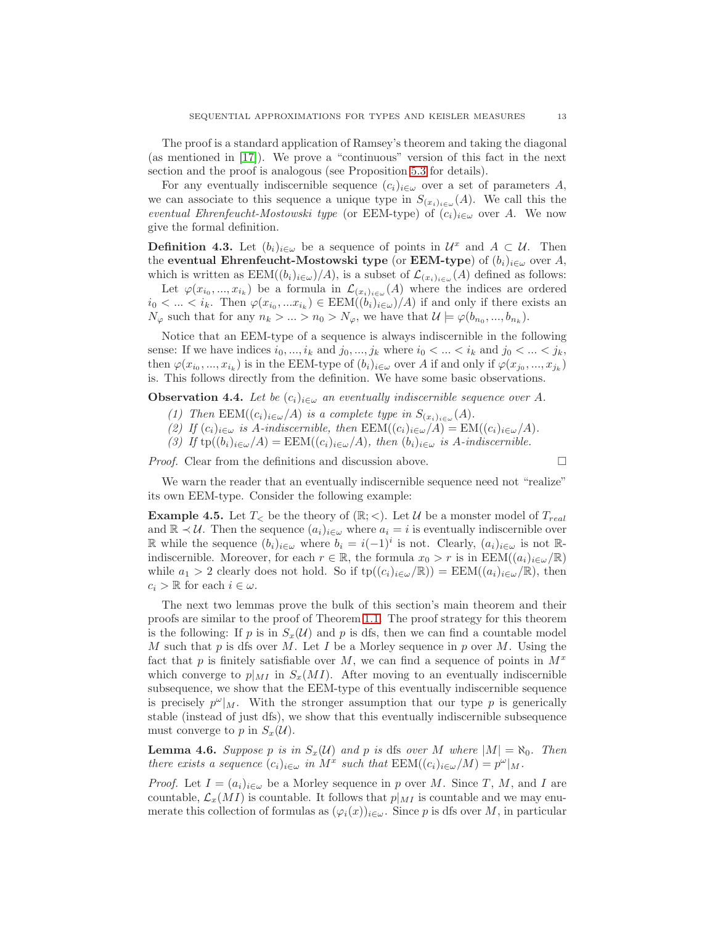The proof is a standard application of Ramsey's theorem and taking the diagonal (as mentioned in [\[17\]](#page-26-0)). We prove a "continuous" version of this fact in the next section and the proof is analogous (see Proposition [5.3](#page-17-0) for details).

For any eventually indiscernible sequence  $(c_i)_{i\in\omega}$  over a set of parameters A, we can associate to this sequence a unique type in  $S_{(x_i)_{i\in\omega}}(A)$ . We call this the *eventual Ehrenfeucht-Mostowski type* (or EEM-type) of  $(c_i)_{i \in \omega}$  over A. We now give the formal definition.

**Definition 4.3.** Let  $(b_i)_{i \in \omega}$  be a sequence of points in  $\mathcal{U}^x$  and  $A \subset \mathcal{U}$ . Then the eventual Ehrenfeucht-Mostowski type (or EEM-type) of  $(b_i)_{i \in \omega}$  over A, which is written as  $\text{EEM}((b_i)_{i\in\omega})/A)$ , is a subset of  $\mathcal{L}_{(x_i)_{i\in\omega}}(A)$  defined as follows:

Let  $\varphi(x_{i_0},...,x_{i_k})$  be a formula in  $\mathcal{L}_{(x_i)_{i\in\omega}}(A)$  where the indices are ordered  $i_0 < \ldots < i_k$ . Then  $\varphi(x_{i_0},...x_{i_k}) \in \text{EEM}((b_i)_{i \in \omega})/A)$  if and only if there exists an  $N_{\varphi}$  such that for any  $n_k > ... > n_0 > N_{\varphi}$ , we have that  $\mathcal{U} \models \varphi(b_{n_0},...,b_{n_k}).$ 

Notice that an EEM-type of a sequence is always indiscernible in the following sense: If we have indices  $i_0, ..., i_k$  and  $j_0, ..., j_k$  where  $i_0 < ... < i_k$  and  $j_0 < ... < j_k$ , then  $\varphi(x_{i_0},...,x_{i_k})$  is in the EEM-type of  $(b_i)_{i\in\omega}$  over A if and only if  $\varphi(x_{j_0},...,x_{j_k})$ is. This follows directly from the definition. We have some basic observations.

**Observation 4.4.** *Let be*  $(c_i)_{i \in \omega}$  *an eventually indiscernible sequence over* A.

- *(1) Then*  $EEM((c_i)_{i \in \omega}/A)$  *is a complete type in*  $S_{(x_i)_{i \in \omega}}(A)$ *.*
- (2) If  $(c_i)_{i \in \omega}$  *is A-indiscernible, then*  $EEM((c_i)_{i \in \omega}/A) = EM((c_i)_{i \in \omega}/A)$ *.*
- *(3)* If  $tp((b_i)_{i \in \omega}/A) = EEM((c_i)_{i \in \omega}/A)$ , then  $(b_i)_{i \in \omega}$  is A-indiscernible.

*Proof.* Clear from the definitions and discussion above. □

We warn the reader that an eventually indiscernible sequence need not "realize" its own EEM-type. Consider the following example:

**Example 4.5.** Let  $T_{\leq}$  be the theory of  $(\mathbb{R}; \leq)$ . Let U be a monster model of  $T_{real}$ and  $\mathbb{R} \prec \mathcal{U}$ . Then the sequence  $(a_i)_{i \in \omega}$  where  $a_i = i$  is eventually indiscernible over R while the sequence  $(b_i)_{i \in \omega}$  where  $b_i = i(-1)^i$  is not. Clearly,  $(a_i)_{i \in \omega}$  is not Rindiscernible. Moreover, for each  $r \in \mathbb{R}$ , the formula  $x_0 > r$  is in  $\text{EEM}((a_i)_{i \in \omega}/\mathbb{R})$ while  $a_1 > 2$  clearly does not hold. So if  $tp((c_i)_{i \in \omega}/\mathbb{R}) = EEM((a_i)_{i \in \omega}/\mathbb{R})$ , then  $c_i > \mathbb{R}$  for each  $i \in \omega$ .

The next two lemmas prove the bulk of this section's main theorem and their proofs are similar to the proof of Theorem [1.1.](#page-0-0) The proof strategy for this theorem is the following: If p is in  $S_x(\mathcal{U})$  and p is dfs, then we can find a countable model M such that p is dfs over M. Let I be a Morley sequence in p over M. Using the fact that p is finitely satisfiable over M, we can find a sequence of points in  $M^x$ which converge to  $p|_{MI}$  in  $S_x(M)$ . After moving to an eventually indiscernible subsequence, we show that the EEM-type of this eventually indiscernible sequence is precisely  $p^{\omega}|_M$ . With the stronger assumption that our type p is generically stable (instead of just dfs), we show that this eventually indiscernible subsequence must converge to p in  $S_x(\mathcal{U})$ .

<span id="page-12-0"></span>**Lemma 4.6.** Suppose p is in  $S_x(\mathcal{U})$  and p is dfs over M where  $|M| = \aleph_0$ . Then *there exists a sequence*  $(c_i)_{i \in \omega}$  *in*  $M^x$  *such that*  $EEM((c_i)_{i \in \omega}/M) = p^{\omega}|_M$ *.* 

*Proof.* Let  $I = (a_i)_{i \in \omega}$  be a Morley sequence in p over M. Since T, M, and I are countable,  $\mathcal{L}_x(M)$  is countable. It follows that  $p|_{M}$  is countable and we may enumerate this collection of formulas as  $(\varphi_i(x))_{i\in\omega}$ . Since p is dfs over M, in particular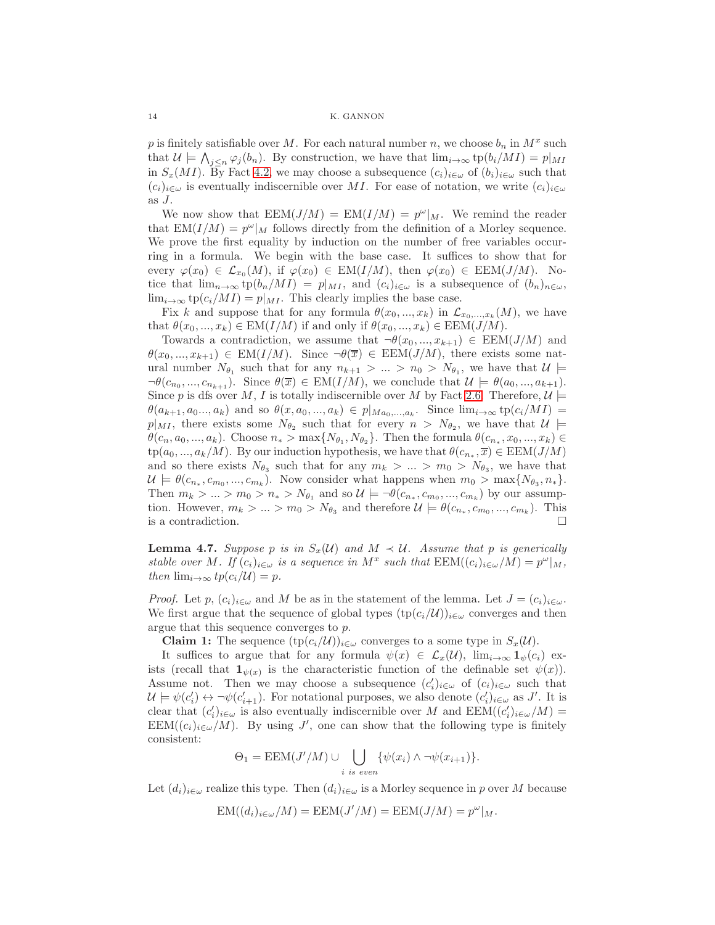p is finitely satisfiable over M. For each natural number n, we choose  $b_n$  in  $M^x$  such that  $\mathcal{U} \models \bigwedge_{j \leq n} \varphi_j(b_n)$ . By construction, we have that  $\lim_{i \to \infty} \text{tp}(b_i/MI) = p|_{MI}$ in  $S_x(MI)$ . By Fact [4.2,](#page-11-0) we may choose a subsequence  $(c_i)_{i\in\omega}$  of  $(b_i)_{i\in\omega}$  such that  $(c_i)_{i\in\omega}$  is eventually indiscernible over MI. For ease of notation, we write  $(c_i)_{i\in\omega}$ as J.

We now show that  $EEM(J/M) = EM(I/M) = p^{\omega}|_M$ . We remind the reader that  $EM(I/M) = p^{\omega}|_M$  follows directly from the definition of a Morley sequence. We prove the first equality by induction on the number of free variables occurring in a formula. We begin with the base case. It suffices to show that for every  $\varphi(x_0) \in \mathcal{L}_{x_0}(M)$ , if  $\varphi(x_0) \in \text{EM}(I/M)$ , then  $\varphi(x_0) \in \text{EEM}(J/M)$ . Notice that  $\lim_{n\to\infty}$  tp $(b_n/MI) = p|_{MI}$ , and  $(c_i)_{i\in\omega}$  is a subsequence of  $(b_n)_{n\in\omega}$ ,  $\lim_{i\to\infty}$  tp $(c_i/M I) = p|_{MI}$ . This clearly implies the base case.

Fix k and suppose that for any formula  $\theta(x_0, ..., x_k)$  in  $\mathcal{L}_{x_0,...,x_k}(M)$ , we have that  $\theta(x_0, ..., x_k) \in EM(I/M)$  if and only if  $\theta(x_0, ..., x_k) \in EEM(J/M)$ .

Towards a contradiction, we assume that  $\neg \theta(x_0, ..., x_{k+1}) \in \text{EEM}(J/M)$  and  $\theta(x_0, ..., x_{k+1}) \in EM(I/M)$ . Since  $\neg \theta(\overline{x}) \in EEM(J/M)$ , there exists some natural number  $N_{\theta_1}$  such that for any  $n_{k+1} > ... > n_0 > N_{\theta_1}$ , we have that  $\mathcal{U} \models$  $\neg\theta(c_{n_0},...,c_{n_{k+1}}).$  Since  $\theta(\overline{x}) \in EM(I/M)$ , we conclude that  $\mathcal{U} \models \theta(a_0,...,a_{k+1}).$ Since p is dfs over M, I is totally indiscernible over M by Fact [2.6.](#page-4-0) Therefore,  $\mathcal{U} \models$  $\theta(a_{k+1}, a_0..., a_k)$  and so  $\theta(x, a_0,..., a_k) \in p|_{Ma_0,..., a_k}$ . Since  $\lim_{i\to\infty} \text{tp}(c_i/MI) =$  $p|_{MI}$ , there exists some  $N_{\theta_2}$  such that for every  $n > N_{\theta_2}$ , we have that  $\mathcal{U} \models$  $\theta(c_n, a_0, ..., a_k)$ . Choose  $n_* > \max\{N_{\theta_1}, N_{\theta_2}\}$ . Then the formula  $\theta(c_{n_*}, x_0, ..., x_k) \in$  $tp(a_0, ..., a_k/M)$ . By our induction hypothesis, we have that  $\theta(c_{n_*}, \overline{x}) \in EEM(J/M)$ and so there exists  $N_{\theta_3}$  such that for any  $m_k > ... > m_0 > N_{\theta_3}$ , we have that  $\mathcal{U} \models \theta(c_{n_*}, c_{m_0}, ..., c_{m_k})$ . Now consider what happens when  $m_0 > \max\{N_{\theta_3}, n_*\}$ . Then  $m_k > ... > m_0 > n_* > N_{\theta_1}$  and so  $\mathcal{U} \models \neg \theta(c_{n_*}, c_{m_0}, ..., c_{m_k})$  by our assumption. However,  $m_k > ... > m_0 > N_{\theta_3}$  and therefore  $\mathcal{U} \models \theta(c_{n_*}, c_{m_0}, ..., c_{m_k})$ . This is a contradiction.  $\Box$ 

<span id="page-13-0"></span>**Lemma 4.7.** Suppose p is in  $S_x(\mathcal{U})$  and  $M \prec \mathcal{U}$ . Assume that p is generically *stable over M*. If  $(c_i)_{i \in \omega}$  *is a sequence in*  $M^x$  *such that*  $EEM((c_i)_{i \in \omega}/M) = p^{\omega}|_M$ , *then*  $\lim_{i\to\infty} tp(c_i/U) = p$ .

*Proof.* Let p,  $(c_i)_{i \in \omega}$  and M be as in the statement of the lemma. Let  $J = (c_i)_{i \in \omega}$ . We first argue that the sequence of global types  $(\text{tp}(c_i/\mathcal{U}))_{i\in\omega}$  converges and then argue that this sequence converges to p.

**Claim 1:** The sequence  $(\text{tp}(c_i/\mathcal{U}))_{i \in \omega}$  converges to a some type in  $S_x(\mathcal{U})$ .

It suffices to argue that for any formula  $\psi(x) \in \mathcal{L}_x(\mathcal{U})$ ,  $\lim_{i\to\infty} \mathbf{1}_{\psi}(c_i)$  exists (recall that  $\mathbf{1}_{\psi(x)}$  is the characteristic function of the definable set  $\psi(x)$ ). Assume not. Then we may choose a subsequence  $(c_i')_{i \in \omega}$  of  $(c_i)_{i \in \omega}$  such that  $\mathcal{U} \models \psi(c_i') \leftrightarrow \neg \psi(c_{i+1}').$  For notational purposes, we also denote  $(c_i')_{i \in \omega}$  as J'. It is clear that  $(c'_i)_{i \in \omega}$  is also eventually indiscernible over M and  $\text{EEM}((c'_i)_{i \in \omega}/M)$  = EEM( $(c_i)_{i \in \omega}/M$ ). By using J', one can show that the following type is finitely consistent:

$$
\Theta_1 = \text{EEM}(J'/M) \cup \bigcup_{i \text{ is even}} \{\psi(x_i) \wedge \neg \psi(x_{i+1})\}.
$$

Let  $(d_i)_{i\in\omega}$  realize this type. Then  $(d_i)_{i\in\omega}$  is a Morley sequence in p over M because

$$
EM((d_i)_{i \in \omega}/M) = EEM(J'/M) = EEM(J/M) = p^{\omega}|_M.
$$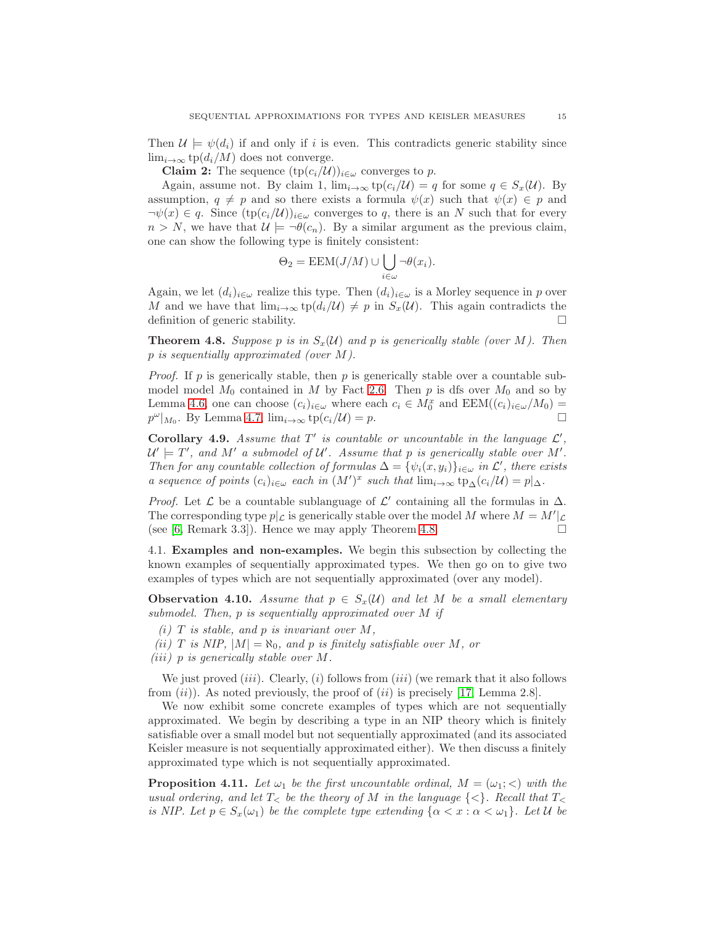Then  $\mathcal{U} \models \psi(d_i)$  if and only if i is even. This contradicts generic stability since  $\lim_{i\to\infty}$  tp( $d_i/M$ ) does not converge.

**Claim 2:** The sequence  $(\text{tp}(c_i/\mathcal{U}))_{i \in \omega}$  converges to p.

Again, assume not. By claim 1,  $\lim_{i\to\infty} \text{tp}(c_i/\mathcal{U}) = q$  for some  $q \in S_x(\mathcal{U})$ . By assumption,  $q \neq p$  and so there exists a formula  $\psi(x)$  such that  $\psi(x) \in p$  and  $\neg \psi(x) \in q$ . Since  $(\text{tp}(c_i/\mathcal{U}))_{i \in \omega}$  converges to q, there is an N such that for every  $n > N$ , we have that  $\mathcal{U} \models \neg \theta(c_n)$ . By a similar argument as the previous claim, one can show the following type is finitely consistent:

$$
\Theta_2 = \text{EEM}(J/M) \cup \bigcup_{i \in \omega} \neg \theta(x_i).
$$

Again, we let  $(d_i)_{i\in\omega}$  realize this type. Then  $(d_i)_{i\in\omega}$  is a Morley sequence in p over M and we have that  $\lim_{i\to\infty} \text{tp}(d_i/\mathcal{U}) \neq p$  in  $S_x(\mathcal{U})$ . This again contradicts the definition of generic stability.

<span id="page-14-1"></span>**Theorem 4.8.** Suppose p is in  $S_x(\mathcal{U})$  and p is generically stable (over M). Then p *is sequentially approximated (over* M*).*

*Proof.* If p is generically stable, then p is generically stable over a countable submodel model  $M_0$  contained in M by Fact [2.6.](#page-4-0) Then p is dfs over  $M_0$  and so by Lemma [4.6,](#page-12-0) one can choose  $(c_i)_{i \in \omega}$  where each  $c_i \in M_0^x$  and  $\text{EEM}((c_i)_{i \in \omega}/M_0)$  =  $p^{\omega}|_{M_0}$ . By Lemma [4.7,](#page-13-0)  $\lim_{i\to\infty} \operatorname{tp}(c_i/\mathcal{U}) = p$ .

**Corollary 4.9.** Assume that  $T'$  is countable or uncountable in the language  $\mathcal{L}'$ ,  $\mathcal{U}' = T'$ , and M' a submodel of  $\mathcal{U}'$ . Assume that p is generically stable over M'. *Then for any countable collection of formulas*  $\Delta = {\psi_i(x, y_i)}_{i \in \omega}$  *in*  $\mathcal{L}'$ *, there exists a* sequence of points  $(c_i)_{i \in \omega}$  each in  $(M')^x$  such that  $\lim_{i \to \infty} tp_{\Delta}(c_i/\mathcal{U}) = p |_{\Delta}$ .

*Proof.* Let  $\mathcal L$  be a countable sublanguage of  $\mathcal L'$  containing all the formulas in  $\Delta$ . The corresponding type  $p|\mathcal{L}$  is generically stable over the model M where  $M = M'|\mathcal{L}$ (see [\[6,](#page-25-5) Remark 3.3]). Hence we may apply Theorem [4.8.](#page-14-1)

4.1. Examples and non-examples. We begin this subsection by collecting the known examples of sequentially approximated types. We then go on to give two examples of types which are not sequentially approximated (over any model).

**Observation 4.10.** *Assume that*  $p \in S_x(\mathcal{U})$  *and let* M *be a small elementary submodel. Then,* p *is sequentially approximated over* M *if*

 $(i)$  *T is stable, and p is invariant over M*,

*(ii)* T is NIP,  $|M| = \aleph_0$ , and p is finitely satisfiable over M, or

*(*iii*)* p *is generically stable over* M*.*

We just proved  $(iii)$ . Clearly,  $(i)$  follows from  $(iii)$  (we remark that it also follows from  $(ii)$ ). As noted previously, the proof of  $(ii)$  is precisely [\[17,](#page-26-0) Lemma 2.8].

We now exhibit some concrete examples of types which are not sequentially approximated. We begin by describing a type in an NIP theory which is finitely satisfiable over a small model but not sequentially approximated (and its associated Keisler measure is not sequentially approximated either). We then discuss a finitely approximated type which is not sequentially approximated.

<span id="page-14-0"></span>**Proposition 4.11.** Let  $\omega_1$  be the first uncountable ordinal,  $M = (\omega_1; <)$  with the *usual ordering, and let*  $T<sub>></sub>$  *be the theory of* M *in the language*  $\{<\}$ *. Recall that*  $T<sub>></sub>$ *is NIP. Let*  $p \in S_x(\omega_1)$  *be the complete type extending*  $\{\alpha < x : \alpha < \omega_1\}$ *. Let*  $\mathcal U$  *be*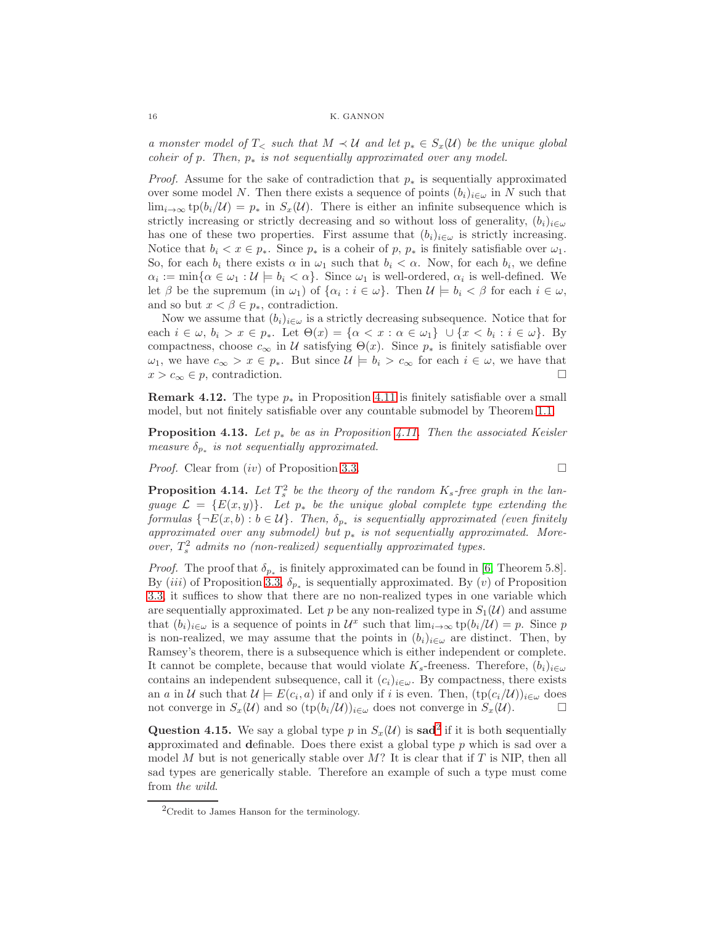*a* monster model of  $T_{\leq}$  such that  $M \preceq U$  and let  $p_* \in S_x(U)$  be the unique global *coheir of* p*. Then,* p<sup>∗</sup> *is not sequentially approximated over any model.*

*Proof.* Assume for the sake of contradiction that  $p_*$  is sequentially approximated over some model N. Then there exists a sequence of points  $(b_i)_{i\in\omega}$  in N such that  $\lim_{i\to\infty}$  tp $(b_i/\mathcal{U}) = p_*$  in  $S_x(\mathcal{U})$ . There is either an infinite subsequence which is strictly increasing or strictly decreasing and so without loss of generality,  $(b_i)_{i\in\omega}$ has one of these two properties. First assume that  $(b_i)_{i\in\omega}$  is strictly increasing. Notice that  $b_i < x \in p_*$ . Since  $p_*$  is a coheir of p,  $p_*$  is finitely satisfiable over  $\omega_1$ . So, for each  $b_i$  there exists  $\alpha$  in  $\omega_1$  such that  $b_i < \alpha$ . Now, for each  $b_i$ , we define  $\alpha_i := \min\{\alpha \in \omega_1 : \mathcal{U} \models b_i < \alpha\}.$  Since  $\omega_1$  is well-ordered,  $\alpha_i$  is well-defined. We let  $\beta$  be the supremum (in  $\omega_1$ ) of  $\{\alpha_i : i \in \omega\}$ . Then  $\mathcal{U} \models b_i < \beta$  for each  $i \in \omega$ , and so but  $x < \beta \in p_*$ , contradiction.

Now we assume that  $(b_i)_{i \in \omega}$  is a strictly decreasing subsequence. Notice that for each  $i \in \omega, b_i > x \in p_*$ . Let  $\Theta(x) = \{\alpha < x : \alpha \in \omega_1\} \cup \{x < b_i : i \in \omega\}$ . By compactness, choose  $c_{\infty}$  in U satisfying  $\Theta(x)$ . Since  $p_*$  is finitely satisfiable over  $\omega_1$ , we have  $c_{\infty} > x \in p_*$ . But since  $\mathcal{U} \models b_i > c_{\infty}$  for each  $i \in \omega$ , we have that  $x > c_{\infty} \in p$ , contradiction.

<span id="page-15-1"></span>**Remark 4.12.** The type  $p_*$  in Proposition [4.11](#page-14-0) is finitely satisfiable over a small model, but not finitely satisfiable over any countable submodel by Theorem [1.1.](#page-0-0)

Proposition 4.13. *Let* p<sup>∗</sup> *be as in Proposition [4.11.](#page-14-0) Then the associated Keisler measure*  $\delta_{p_*}$  *is not sequentially approximated.* 

*Proof.* Clear from  $(iv)$  of Proposition [3.3.](#page-7-2)

<span id="page-15-0"></span>**Proposition 4.14.** Let  $T_s^2$  be the theory of the random  $K_s$ -free graph in the lan*guage*  $\mathcal{L} = \{E(x, y)\}\$ . Let  $p_*$  be the unique global complete type extending the *formulas*  $\{\neg E(x, b) : b \in U\}$ . Then,  $\delta_{p_{*}}$  is sequentially approximated (even finitely *approximated over any submodel) but* p<sup>∗</sup> *is not sequentially approximated. Moreover,*  $T_s^2$  *admits no (non-realized) sequentially approximated types.* 

*Proof.* The proof that  $\delta_{p_*}$  is finitely approximated can be found in [\[6,](#page-25-5) Theorem 5.8]. By (*iii*) of Proposition [3.3,](#page-7-2)  $\delta_{p_*}$  is sequentially approximated. By (*v*) of Proposition [3.3,](#page-7-2) it suffices to show that there are no non-realized types in one variable which are sequentially approximated. Let p be any non-realized type in  $S_1(\mathcal{U})$  and assume that  $(b_i)_{i \in \omega}$  is a sequence of points in  $\mathcal{U}^x$  such that  $\lim_{i \to \infty} \text{tp}(b_i/\mathcal{U}) = p$ . Since p is non-realized, we may assume that the points in  $(b_i)_{i\in\omega}$  are distinct. Then, by Ramsey's theorem, there is a subsequence which is either independent or complete. It cannot be complete, because that would violate  $K_s$ -freeness. Therefore,  $(b_i)_{i\in\omega}$ contains an independent subsequence, call it  $(c_i)_{i\in\omega}$ . By compactness, there exists an a in U such that  $\mathcal{U} \models E(c_i, a)$  if and only if i is even. Then,  $(\text{tp}(c_i/\mathcal{U}))_{i \in \omega}$  does not converge in  $S_x(\mathcal{U})$  and so  $(\text{tp}(b_i/\mathcal{U}))_{i\in\omega}$  does not converge in  $S_x(\mathcal{U})$ .

Question 4.15. We say a global type p in  $S_x(\mathcal{U})$  is sad<sup>[2](#page-15-2)</sup> if it is both sequentially approximated and definable. Does there exist a global type p which is sad over a model M but is not generically stable over  $M$ ? It is clear that if T is NIP, then all sad types are generically stable. Therefore an example of such a type must come from *the wild*.

$$
\Box
$$

<span id="page-15-2"></span> ${}^{2}$ Credit to James Hanson for the terminology.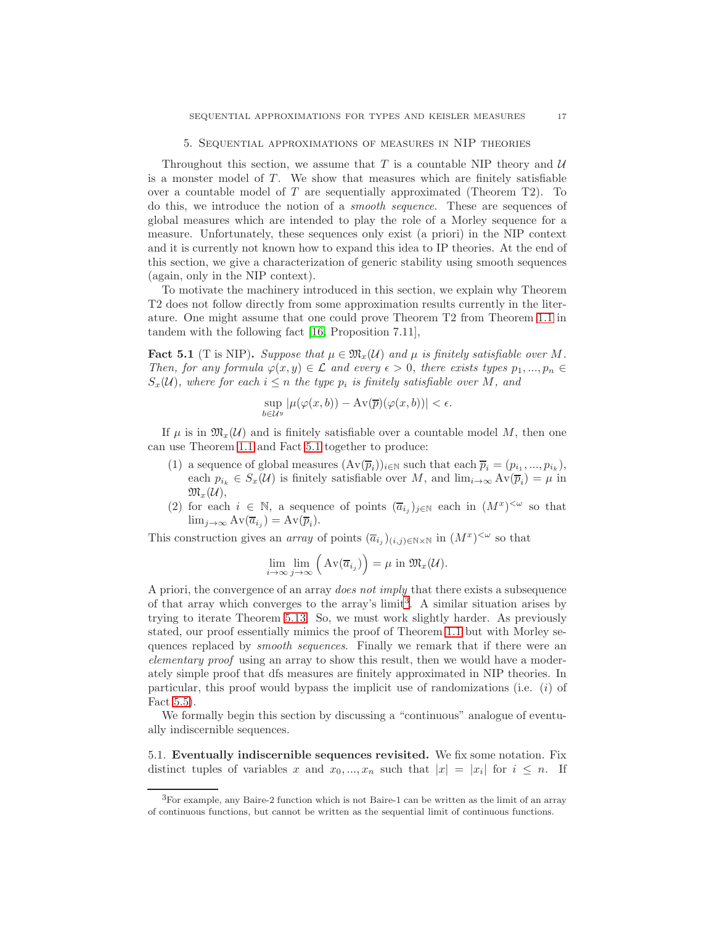### 5. Sequential approximations of measures in NIP theories

Throughout this section, we assume that  $T$  is a countable NIP theory and  $U$ is a monster model of  $T$ . We show that measures which are finitely satisfiable over a countable model of  $T$  are sequentially approximated (Theorem T2). To do this, we introduce the notion of a *smooth sequence*. These are sequences of global measures which are intended to play the role of a Morley sequence for a measure. Unfortunately, these sequences only exist (a priori) in the NIP context and it is currently not known how to expand this idea to IP theories. At the end of this section, we give a characterization of generic stability using smooth sequences (again, only in the NIP context).

To motivate the machinery introduced in this section, we explain why Theorem T2 does not follow directly from some approximation results currently in the literature. One might assume that one could prove Theorem T2 from Theorem [1.1](#page-0-0) in tandem with the following fact [\[16,](#page-26-4) Proposition 7.11],

<span id="page-16-0"></span>**Fact 5.1** (T is NIP). Suppose that  $\mu \in \mathfrak{M}_x(\mathcal{U})$  and  $\mu$  is finitely satisfiable over M. *Then, for any formula*  $\varphi(x, y) \in \mathcal{L}$  *and every*  $\epsilon > 0$ *, there exists types*  $p_1, ..., p_n \in$  $S_x(\mathcal{U})$ *, where for each*  $i \leq n$  *the type*  $p_i$  *is finitely satisfiable over* M, and

$$
\sup_{b\in\mathcal{U}^y}|\mu(\varphi(x,b)) - \mathrm{Av}(\overline{p})(\varphi(x,b))| < \epsilon.
$$

If  $\mu$  is in  $\mathfrak{M}_{r}(\mathcal{U})$  and is finitely satisfiable over a countable model M, then one can use Theorem [1.1](#page-0-0) and Fact [5.1](#page-16-0) together to produce:

- (1) a sequence of global measures  $(\text{Av}(\overline{p}_i))_{i\in\mathbb{N}}$  such that each  $\overline{p}_i = (p_{i_1},...,p_{i_k}),$ each  $p_{i_k} \in S_x(\mathcal{U})$  is finitely satisfiable over M, and  $\lim_{i \to \infty} Av(\overline{p}_i) = \mu$  in  $\mathfrak{M}_{x}(\mathcal{U}),$
- (2) for each  $i \in \mathbb{N}$ , a sequence of points  $(\overline{a}_{i_j})_{j\in\mathbb{N}}$  each in  $(M^x)^{<\omega}$  so that  $\lim_{j\to\infty} Av(\overline{a}_{i_j}) = Av(\overline{p}_i).$

This construction gives an *array* of points  $(\overline{a}_{i_j})_{(i,j)\in\mathbb{N}\times\mathbb{N}}$  in  $(M^x)^{<\omega}$  so that

$$
\lim_{i \to \infty} \lim_{j \to \infty} \left( Av(\overline{a}_{i_j}) \right) = \mu \text{ in } \mathfrak{M}_x(\mathcal{U}).
$$

A priori, the convergence of an array *does not imply* that there exists a subsequence of that array which converges to the array's  $\text{limit}^3$  $\text{limit}^3$ . A similar situation arises by trying to iterate Theorem [5.13.](#page-21-0) So, we must work slightly harder. As previously stated, our proof essentially mimics the proof of Theorem [1.1](#page-0-0) but with Morley sequences replaced by *smooth sequences*. Finally we remark that if there were an *elementary proof* using an array to show this result, then we would have a moderately simple proof that dfs measures are finitely approximated in NIP theories. In particular, this proof would bypass the implicit use of randomizations (i.e.  $(i)$  of Fact [5.5\)](#page-17-1).

We formally begin this section by discussing a "continuous" analogue of eventually indiscernible sequences.

5.1. Eventually indiscernible sequences revisited. We fix some notation. Fix distinct tuples of variables x and  $x_0, ..., x_n$  such that  $|x| = |x_i|$  for  $i \leq n$ . If

<span id="page-16-1"></span><sup>3</sup>For example, any Baire-2 function which is not Baire-1 can be written as the limit of an array of continuous functions, but cannot be written as the sequential limit of continuous functions.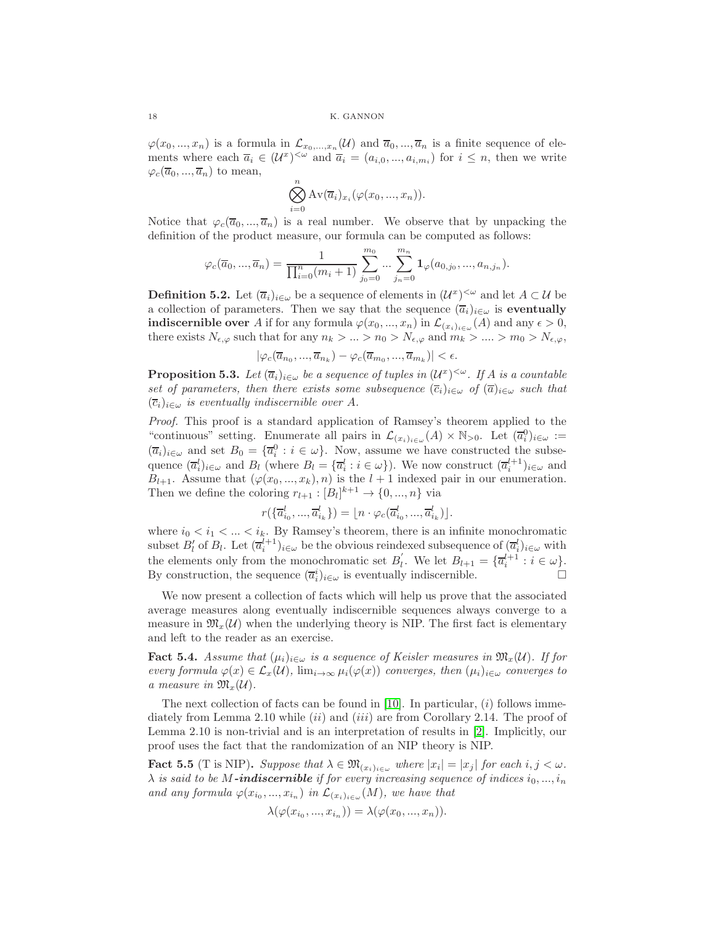$\varphi(x_0,...,x_n)$  is a formula in  $\mathcal{L}_{x_0,...,x_n}(\mathcal{U})$  and  $\overline{a}_0,...,\overline{a}_n$  is a finite sequence of elements where each  $\overline{a}_i \in (U^x)^{<\omega}$  and  $\overline{a}_i = (a_{i,0},...,a_{i,m_i})$  for  $i \leq n$ , then we write  $\varphi_c(\overline{a}_0, ..., \overline{a}_n)$  to mean,

$$
\bigotimes_{i=0}^{n} \mathrm{Av}(\overline{a}_{i})_{x_{i}}(\varphi(x_{0},...,x_{n})).
$$

Notice that  $\varphi_c(\overline{a}_0, ..., \overline{a}_n)$  is a real number. We observe that by unpacking the definition of the product measure, our formula can be computed as follows:

$$
\varphi_c(\overline{a}_0, ..., \overline{a}_n) = \frac{1}{\prod_{i=0}^n (m_i + 1)} \sum_{j_0=0}^{m_0} ... \sum_{j_n=0}^{m_n} \mathbf{1}_{\varphi}(a_{0,j_0}, ..., a_{n,j_n}).
$$

**Definition 5.2.** Let  $(\overline{a}_i)_{i \in \omega}$  be a sequence of elements in  $(\mathcal{U}^x)^{<\omega}$  and let  $A \subset \mathcal{U}$  be a collection of parameters. Then we say that the sequence  $(\overline{a}_i)_{i\in\omega}$  is eventually **indiscernible over** A if for any formula  $\varphi(x_0, ..., x_n)$  in  $\mathcal{L}_{(x_i)_{i \in \omega}}(A)$  and any  $\epsilon > 0$ , there exists  $N_{\epsilon,\varphi}$  such that for any  $n_k > ... > n_0 > N_{\epsilon,\varphi}$  and  $m_k > ... > m_0 > N_{\epsilon,\varphi}$ ,

 $|\varphi_c(\overline{a}_{n_0},...,\overline{a}_{n_k}) - \varphi_c(\overline{a}_{m_0},...,\overline{a}_{m_k})| < \epsilon.$ 

<span id="page-17-0"></span>**Proposition 5.3.** Let  $(\overline{a}_i)_{i \in \omega}$  be a sequence of tuples in  $(\mathcal{U}^x)^{<\omega}$ . If A is a countable *set of parameters, then there exists some subsequence*  $(\overline{c}_i)_{i \in \omega}$  *of*  $(\overline{a})_{i \in \omega}$  *such that*  $(\overline{c}_i)_{i\in\omega}$  *is eventually indiscernible over* A.

*Proof.* This proof is a standard application of Ramsey's theorem applied to the "continuous" setting. Enumerate all pairs in  $\mathcal{L}_{(x_i)_{i\in\omega}}(A)\times\mathbb{N}_{>0}$ . Let  $(\overline{a}_i^0)_{i\in\omega}:=$  $(\overline{a}_i)_{i\in\omega}$  and set  $B_0 = {\overline{a}_i^0 : i \in \omega}$ . Now, assume we have constructed the subsequence  $(\overline{a}_i^l)_{i\in\omega}$  and  $B_l$  (where  $B_l = {\overline{a}_i^l : i \in \omega}$ ). We now construct  $(\overline{a}_i^{l+1})_{i\in\omega}$  and  $B_{l+1}$ . Assume that  $(\varphi(x_0, ..., x_k), n)$  is the  $l+1$  indexed pair in our enumeration. Then we define the coloring  $r_{l+1} : [B_l]^{k+1} \to \{0, ..., n\}$  via

$$
r(\{\overline{a}_{i_0}^l, ..., \overline{a}_{i_k}^l\}) = \lfloor n \cdot \varphi_c(\overline{a}_{i_0}^l, ..., \overline{a}_{i_k}^l) \rfloor.
$$

where  $i_0 < i_1 < ... < i_k$ . By Ramsey's theorem, there is an infinite monochromatic subset  $B'_l$  of  $B_l$ . Let  $(\overline{a}_i^{l+1})_{i \in \omega}$  be the obvious reindexed subsequence of  $(\overline{a}_i^l)_{i \in \omega}$  with the elements only from the monochromatic set  $B'_{l}$ '<sub>l</sub>. We let  $B_{l+1} = {\overline{a}_i^{l+1} : i \in \omega}.$ By construction, the sequence  $(\overline{a}_i^i)_{i \in \omega}$  is eventually indiscernible.

We now present a collection of facts which will help us prove that the associated average measures along eventually indiscernible sequences always converge to a measure in  $\mathfrak{M}_{x}(\mathcal{U})$  when the underlying theory is NIP. The first fact is elementary and left to the reader as an exercise.

**Fact 5.4.** *Assume that*  $(\mu_i)_{i \in \omega}$  *is a sequence of Keisler measures in*  $\mathfrak{M}_x(\mathcal{U})$ *. If for every formula*  $\varphi(x) \in \mathcal{L}_x(\mathcal{U})$ ,  $\lim_{i \to \infty} \mu_i(\varphi(x))$  *converges, then*  $(\mu_i)_{i \in \omega}$  *converges to a* measure in  $\mathfrak{M}_{x}(\mathcal{U})$ .

The next collection of facts can be found in [\[10\]](#page-25-2). In particular,  $(i)$  follows immediately from Lemma 2.10 while  $(ii)$  and  $(iii)$  are from Corollary 2.14. The proof of Lemma 2.10 is non-trivial and is an interpretation of results in [\[2\]](#page-25-1). Implicitly, our proof uses the fact that the randomization of an NIP theory is NIP.

<span id="page-17-1"></span>**Fact 5.5** (T is NIP). Suppose that  $\lambda \in \mathfrak{M}_{(x_i)_{i \in \omega}}$  where  $|x_i| = |x_j|$  for each  $i, j < \omega$ .  $\lambda$  *is said to be* M-**indiscernible** *if for every increasing sequence of indices*  $i_0, ..., i_n$ and any formula  $\varphi(x_{i_0},...,x_{i_n})$  in  $\mathcal{L}_{(x_i)_{i\in\omega}}(M)$ , we have that

$$
\lambda(\varphi(x_{i_0},...,x_{i_n})) = \lambda(\varphi(x_0,...,x_n)).
$$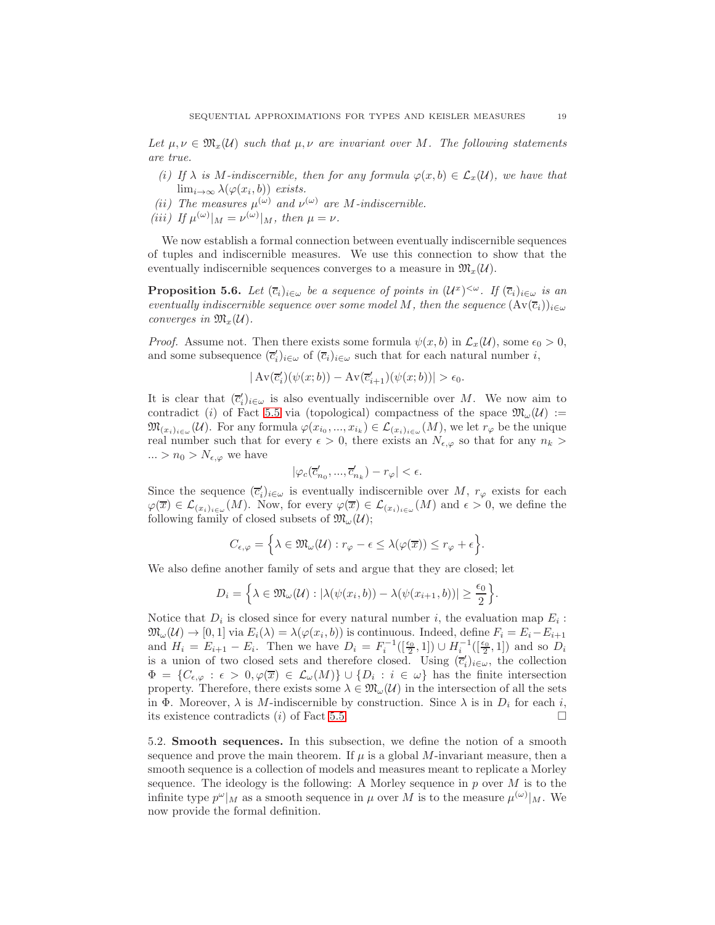Let  $\mu, \nu \in \mathfrak{M}_r(\mathcal{U})$  *such that*  $\mu, \nu$  *are invariant over* M. The following statements *are true.*

- *(i)* If  $\lambda$  *is* M-indiscernible, then for any formula  $\varphi(x, b) \in \mathcal{L}_x(\mathcal{U})$ , we have that  $\lim_{i\to\infty}\lambda(\varphi(x_i,b))$  *exists.*
- (*ii*) The measures  $\mu^{(\omega)}$  and  $\nu^{(\omega)}$  are M-indiscernible. *(iii)* If  $\mu^{(\omega)}|_M = \nu^{(\omega)}|_M$ , then  $\mu = \nu$ .

We now establish a formal connection between eventually indiscernible sequences of tuples and indiscernible measures. We use this connection to show that the eventually indiscernible sequences converges to a measure in  $\mathfrak{M}_{x}(\mathcal{U})$ .

<span id="page-18-0"></span>**Proposition 5.6.** Let  $(\bar{c}_i)_{i \in \omega}$  be a sequence of points in  $(U^x)^{<\omega}$ . If  $(\bar{c}_i)_{i \in \omega}$  is an *eventually indiscernible sequence over some model M, then the sequence*  $(Av(\overline{c}_i))_{i\in\omega}$ *converges in*  $\mathfrak{M}_{x}(\mathcal{U})$ *.* 

*Proof.* Assume not. Then there exists some formula  $\psi(x, b)$  in  $\mathcal{L}_x(\mathcal{U})$ , some  $\epsilon_0 > 0$ , and some subsequence  $(\bar{c}'_i)_{i \in \omega}$  of  $(\bar{c}_i)_{i \in \omega}$  such that for each natural number *i*,

$$
|\operatorname{Av}(\overline{c}_i')(\psi(x;b)) - \operatorname{Av}(\overline{c}_{i+1}')(\psi(x;b))| > \epsilon_0.
$$

It is clear that  $(\bar{c}'_i)_{i\in\omega}$  is also eventually indiscernible over M. We now aim to contradict (i) of Fact [5.5](#page-17-1) via (topological) compactness of the space  $\mathfrak{M}_{\omega}(\mathcal{U}) :=$  $\mathfrak{M}_{(x_i)_{i\in\omega}}(\mathcal{U})$ . For any formula  $\varphi(x_{i_0},...,x_{i_k})\in\mathcal{L}_{(x_i)_{i\in\omega}}(M)$ , we let  $r_{\varphi}$  be the unique real number such that for every  $\epsilon > 0$ , there exists an  $N_{\epsilon,\varphi}$  so that for any  $n_k >$  $\ldots > n_0 > N_{\epsilon,\varphi}$  we have

$$
|\varphi_c(\overline{c}'_{n_0},...,\overline{c}'_{n_k})-r_\varphi|<\epsilon.
$$

Since the sequence  $(\bar{c}'_i)_{i \in \omega}$  is eventually indiscernible over M,  $r_{\varphi}$  exists for each  $\varphi(\overline{x}) \in \mathcal{L}_{(x_i)_{i \in \omega}}(M)$ . Now, for every  $\varphi(\overline{x}) \in \mathcal{L}_{(x_i)_{i \in \omega}}(M)$  and  $\epsilon > 0$ , we define the following family of closed subsets of  $\mathfrak{M}_{\omega}(\mathcal{U});$ 

$$
C_{\epsilon,\varphi} = \left\{ \lambda \in \mathfrak{M}_{\omega}(\mathcal{U}) : r_{\varphi} - \epsilon \leq \lambda(\varphi(\overline{x})) \leq r_{\varphi} + \epsilon \right\}.
$$

We also define another family of sets and argue that they are closed; let

$$
D_i = \left\{ \lambda \in \mathfrak{M}_{\omega}(\mathcal{U}) : |\lambda(\psi(x_i, b)) - \lambda(\psi(x_{i+1}, b))| \ge \frac{\epsilon_0}{2} \right\}.
$$

Notice that  $D_i$  is closed since for every natural number i, the evaluation map  $E_i$ :  $\mathfrak{M}_{\omega}(\mathcal{U}) \to [0,1]$  via  $E_i(\lambda) = \lambda(\varphi(x_i, b))$  is continuous. Indeed, define  $F_i = E_i - E_{i+1}$ and  $H_i = E_{i+1} - E_i$ . Then we have  $D_i = F_i^{-1}([\frac{\epsilon_0}{2}, 1]) \cup H_i^{-1}([\frac{\epsilon_0}{2}, 1])$  and so  $D_i$ is a union of two closed sets and therefore closed. Using  $(\bar{c}'_i)_{i \in \omega}$ , the collection  $\Phi = \{C_{\epsilon,\varphi} : \epsilon > 0, \varphi(\overline{x}) \in \mathcal{L}_{\omega}(M)\} \cup \{D_i : i \in \omega\}$  has the finite intersection property. Therefore, there exists some  $\lambda \in \mathfrak{M}_{\omega}(\mathcal{U})$  in the intersection of all the sets in Φ. Moreover,  $\lambda$  is M-indiscernible by construction. Since  $\lambda$  is in  $D_i$  for each i, its existence contradicts (*i*) of Fact [5.5.](#page-17-1)

5.2. Smooth sequences. In this subsection, we define the notion of a smooth sequence and prove the main theorem. If  $\mu$  is a global M-invariant measure, then a smooth sequence is a collection of models and measures meant to replicate a Morley sequence. The ideology is the following: A Morley sequence in  $p$  over  $M$  is to the infinite type  $p^{\omega}|_M$  as a smooth sequence in  $\mu$  over M is to the measure  $\mu^{(\omega)}|_M$ . We now provide the formal definition.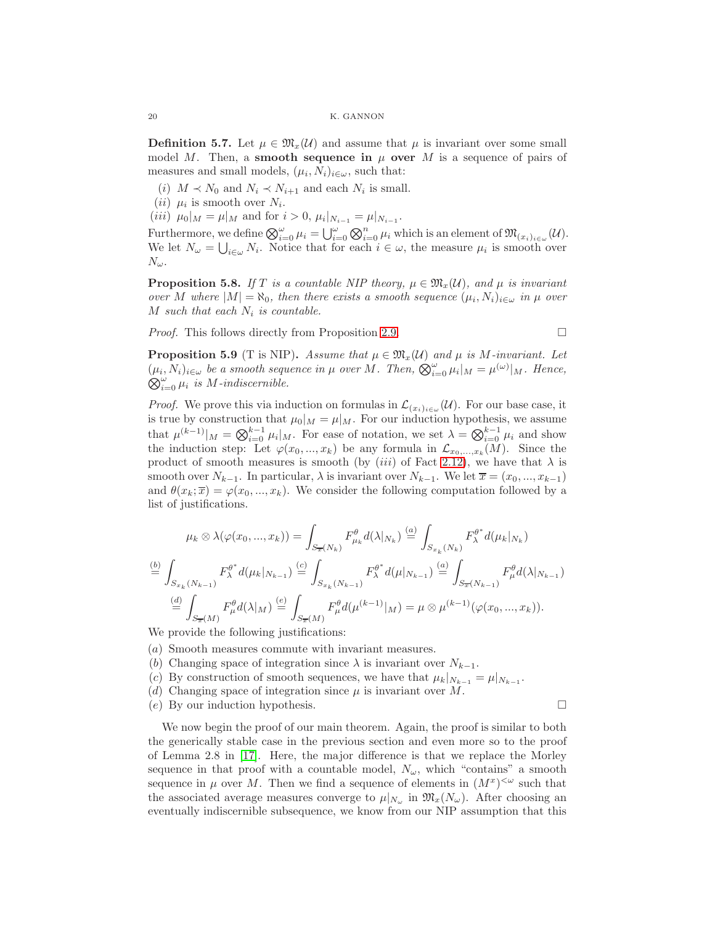**Definition 5.7.** Let  $\mu \in \mathfrak{M}_x(\mathcal{U})$  and assume that  $\mu$  is invariant over some small model M. Then, a **smooth sequence in**  $\mu$  over M is a sequence of pairs of measures and small models,  $(\mu_i, N_i)_{i \in \omega}$ , such that:

- (*i*)  $M \prec N_0$  and  $N_i \prec N_{i+1}$  and each  $N_i$  is small.
- $(ii)$   $\mu_i$  is smooth over  $N_i$ .
- (*iii*)  $\mu_0|_M = \mu|_M$  and for  $i > 0$ ,  $\mu_i|_{N_{i-1}} = \mu|_{N_{i-1}}$ .

Furthermore, we define  $\bigotimes_{i=0}^{\omega} \mu_i = \bigcup_{i=0}^{\omega} \bigotimes_{i=0}^{n} \mu_i$  which is an element of  $\mathfrak{M}_{(x_i)_{i \in \omega}}(\mathcal{U})$ . We let  $N_{\omega} = \bigcup_{i \in \omega} N_i$ . Notice that for each  $i \in \omega$ , the measure  $\mu_i$  is smooth over  $N_\omega$ .

<span id="page-19-0"></span>**Proposition 5.8.** *If* T *is a countable NIP theory,*  $\mu \in \mathfrak{M}_x(\mathcal{U})$ *, and*  $\mu$  *is invariant over* M where  $|M| = \aleph_0$ , then there exists a smooth sequence  $(\mu_i, N_i)_{i \in \omega}$  in  $\mu$  over M such that each  $N_i$  is countable.

*Proof.* This follows directly from Proposition [2.9.](#page-6-1)

$$
\qquad \qquad \Box
$$

<span id="page-19-1"></span>**Proposition 5.9** (T is NIP). Assume that  $\mu \in \mathfrak{M}_x(\mathcal{U})$  and  $\mu$  is M-invariant. Let  $(\mu_i, N_i)_{i \in \omega}$  *be a smooth sequence in*  $\mu$  *over*  $M$ *. Then,*  $\bigotimes_{i=0}^{\omega} \mu_i|_M = \mu^{(\omega)}|_M$ *. Hence,*  $\bigotimes_{i=0}^{\omega} \mu_i$  *is M*-*indiscernible.* 

*Proof.* We prove this via induction on formulas in  $\mathcal{L}_{(x_i)_{i\in\omega}}(\mathcal{U})$ . For our base case, it is true by construction that  $\mu_0|_M = \mu|_M$ . For our induction hypothesis, we assume that  $\mu^{(k-1)}|_M = \bigotimes_{i=0}^{k-1} \mu_i|_M$ . For ease of notation, we set  $\lambda = \bigotimes_{i=0}^{k-1} \mu_i$  and show the induction step: Let  $\varphi(x_0, ..., x_k)$  be any formula in  $\mathcal{L}_{x_0, ..., x_k}(M)$ . Since the product of smooth measures is smooth (by *(iii)* of Fact [2.12\)](#page-6-0), we have that  $\lambda$  is smooth over  $N_{k-1}$ . In particular,  $\lambda$  is invariant over  $N_{k-1}$ . We let  $\overline{x} = (x_0, ..., x_{k-1})$ and  $\theta(x_k; \overline{x}) = \varphi(x_0, ..., x_k)$ . We consider the following computation followed by a list of justifications.

$$
\mu_{k} \otimes \lambda(\varphi(x_{0},...,x_{k})) = \int_{S_{\overline{x}}(N_{k})} F_{\mu_{k}}^{\theta} d(\lambda|_{N_{k}}) \stackrel{(a)}{=} \int_{S_{x_{k}}(N_{k})} F_{\lambda}^{\theta^{*}} d(\mu_{k}|_{N_{k}})
$$
  
\n
$$
\stackrel{(b)}{=} \int_{S_{x_{k}}(N_{k-1})} F_{\lambda}^{\theta^{*}} d(\mu_{k}|_{N_{k-1}}) \stackrel{(c)}{=} \int_{S_{x_{k}}(N_{k-1})} F_{\lambda}^{\theta^{*}} d(\mu|_{N_{k-1}}) \stackrel{(a)}{=} \int_{S_{\overline{x}}(N_{k-1})} F_{\mu}^{\theta} d(\lambda|_{N_{k-1}})
$$
  
\n
$$
\stackrel{(d)}{=} \int_{S_{\overline{x}}(M)} F_{\mu}^{\theta} d(\lambda|_{M}) \stackrel{(e)}{=} \int_{S_{\overline{x}}(M)} F_{\mu}^{\theta} d(\mu^{(k-1)}|_{M}) = \mu \otimes \mu^{(k-1)}(\varphi(x_{0},...,x_{k})).
$$

We provide the following justifications:

- (a) Smooth measures commute with invariant measures.
- (b) Changing space of integration since  $\lambda$  is invariant over  $N_{k-1}$ .
- (c) By construction of smooth sequences, we have that  $\mu_k|_{N_{k-1}} = \mu|_{N_{k-1}}$ .
- (d) Changing space of integration since  $\mu$  is invariant over M.
- (e) By our induction hypothesis.

We now begin the proof of our main theorem. Again, the proof is similar to both the generically stable case in the previous section and even more so to the proof of Lemma 2.8 in [\[17\]](#page-26-0). Here, the major difference is that we replace the Morley sequence in that proof with a countable model,  $N_{\omega}$ , which "contains" a smooth sequence in  $\mu$  over M. Then we find a sequence of elements in  $(M^x)^{<\omega}$  such that the associated average measures converge to  $\mu|_{N_{\omega}}$  in  $\mathfrak{M}_x(N_{\omega})$ . After choosing an eventually indiscernible subsequence, we know from our NIP assumption that this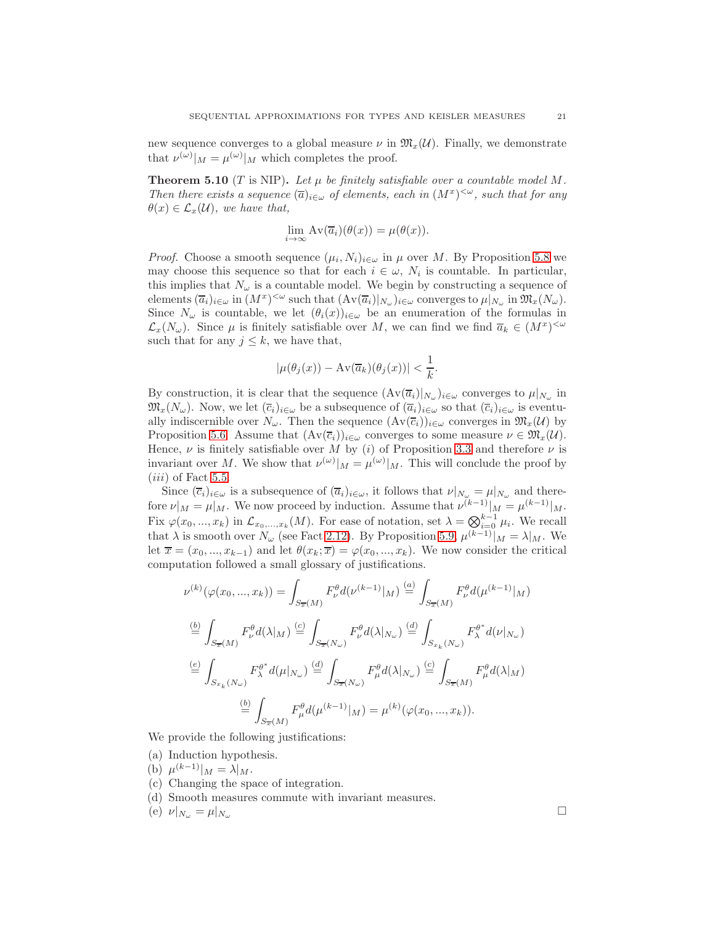new sequence converges to a global measure  $\nu$  in  $\mathfrak{M}_{x}(\mathcal{U})$ . Finally, we demonstrate that  $\nu^{(\omega)}|_M = \mu^{(\omega)}|_M$  which completes the proof.

**Theorem 5.10** (T is NIP). Let  $\mu$  be finitely satisfiable over a countable model M. *Then there exists a sequence*  $(\overline{a})_{i \in \omega}$  *of elements, each in*  $(M^x)^{<\omega}$ *, such that for any*  $\theta(x) \in \mathcal{L}_x(\mathcal{U})$ *, we have that,* 

$$
\lim_{i \to \infty} Av(\overline{a}_i)(\theta(x)) = \mu(\theta(x)).
$$

*Proof.* Choose a smooth sequence  $(\mu_i, N_i)_{i \in \omega}$  in  $\mu$  over M. By Proposition [5.8](#page-19-0) we may choose this sequence so that for each  $i \in \omega$ ,  $N_i$  is countable. In particular, this implies that  $N_{\omega}$  is a countable model. We begin by constructing a sequence of elements  $(\overline{a}_i)_{i\in\omega}$  in  $(M^x)^{<\omega}$  such that  $(\text{Av}(\overline{a}_i)|_{N_\omega})_{i\in\omega}$  converges to  $\mu|_{N_\omega}$  in  $\mathfrak{M}_x(N_\omega)$ . Since  $N_{\omega}$  is countable, we let  $(\theta_i(x))_{i\in\omega}$  be an enumeration of the formulas in  $\mathcal{L}_x(N_\omega)$ . Since  $\mu$  is finitely satisfiable over M, we can find we find  $\overline{a}_k \in (M^x)^{<\omega}$ such that for any  $j \leq k$ , we have that,

$$
|\mu(\theta_j(x)) - \mathrm{Av}(\overline{a}_k)(\theta_j(x))| < \frac{1}{k}.
$$

By construction, it is clear that the sequence  $(\text{Av}(\overline{a}_i)|_{N_\omega})_{i\in\omega}$  converges to  $\mu|_{N_\omega}$  in  $\mathfrak{M}_x(N_\omega)$ . Now, we let  $(\overline{c}_i)_{i\in\omega}$  be a subsequence of  $(\overline{a}_i)_{i\in\omega}$  so that  $(\overline{c}_i)_{i\in\omega}$  is eventually indiscernible over  $N_{\omega}$ . Then the sequence  $(\mathrm{Av}(\overline{c}_i))_{i\in\omega}$  converges in  $\mathfrak{M}_x(\mathcal{U})$  by Proposition [5.6.](#page-18-0) Assume that  $(\text{Av}(\overline{c}_i))_{i\in\omega}$  converges to some measure  $\nu \in \mathfrak{M}_x(\mathcal{U})$ . Hence,  $\nu$  is finitely satisfiable over M by (i) of Proposition [3.3](#page-7-2) and therefore  $\nu$  is invariant over M. We show that  $\nu^{(\omega)}|_{M} = \mu^{(\omega)}|_{M}$ . This will conclude the proof by  $(iii)$  of Fact [5.5.](#page-17-1)

Since  $(\overline{c}_i)_{i\in\omega}$  is a subsequence of  $(\overline{a}_i)_{i\in\omega}$ , it follows that  $\nu|_{N_\omega} = \mu|_{N_\omega}$  and therefore  $\nu|_M = \mu|_M$ . We now proceed by induction. Assume that  $\nu^{(k-1)}|_M = \mu^{(k-1)}|_M$ . Fix  $\varphi(x_0, ..., x_k)$  in  $\mathcal{L}_{x_0, ..., x_k}(M)$ . For ease of notation, set  $\lambda = \bigotimes_{i=0}^{k-1} \mu_i$ . We recall that  $\lambda$  is smooth over  $N_{\omega}$  (see Fact [2.12\)](#page-6-0). By Proposition [5.9,](#page-19-1)  $\mu^{(k-1)}|_{M} = \lambda|_{M}$ . We let  $\overline{x} = (x_0, ..., x_{k-1})$  and let  $\theta(x_k; \overline{x}) = \varphi(x_0, ..., x_k)$ . We now consider the critical computation followed a small glossary of justifications.

$$
\nu^{(k)}(\varphi(x_0, ..., x_k)) = \int_{S_{\overline{x}}(M)} F_{\nu}^{\theta} d(\nu^{(k-1)}|_{M}) \stackrel{(a)}{=} \int_{S_{\overline{x}}(M)} F_{\nu}^{\theta} d(\mu^{(k-1)}|_{M})
$$
  
\n
$$
\stackrel{(b)}{=} \int_{S_{\overline{x}}(M)} F_{\nu}^{\theta} d(\lambda|_{M}) \stackrel{(c)}{=} \int_{S_{\overline{x}}(N_{\omega})} F_{\nu}^{\theta} d(\lambda|_{N_{\omega}}) \stackrel{(d)}{=} \int_{S_{x_k}(N_{\omega})} F_{\lambda}^{\theta^{*}} d(\nu|_{N_{\omega}})
$$
  
\n
$$
\stackrel{(e)}{=} \int_{S_{x_k}(N_{\omega})} F_{\lambda}^{\theta^{*}} d(\mu|_{N_{\omega}}) \stackrel{(d)}{=} \int_{S_{\overline{x}}(N_{\omega})} F_{\mu}^{\theta} d(\lambda|_{N_{\omega}}) \stackrel{(c)}{=} \int_{S_{\overline{x}}(M)} F_{\mu}^{\theta} d(\lambda|_{M})
$$
  
\n
$$
\stackrel{(b)}{=} \int_{S_{\overline{x}}(M)} F_{\mu}^{\theta} d(\mu^{(k-1)}|_{M}) = \mu^{(k)}(\varphi(x_0, ..., x_k)).
$$

We provide the following justifications:

- (a) Induction hypothesis.
- (b)  $\mu^{(k-1)}|_{M} = \lambda|_{M}.$
- (c) Changing the space of integration.
- (d) Smooth measures commute with invariant measures.

(e)  $\nu|_{N_{\omega}} = \mu|_{N_{\omega}}$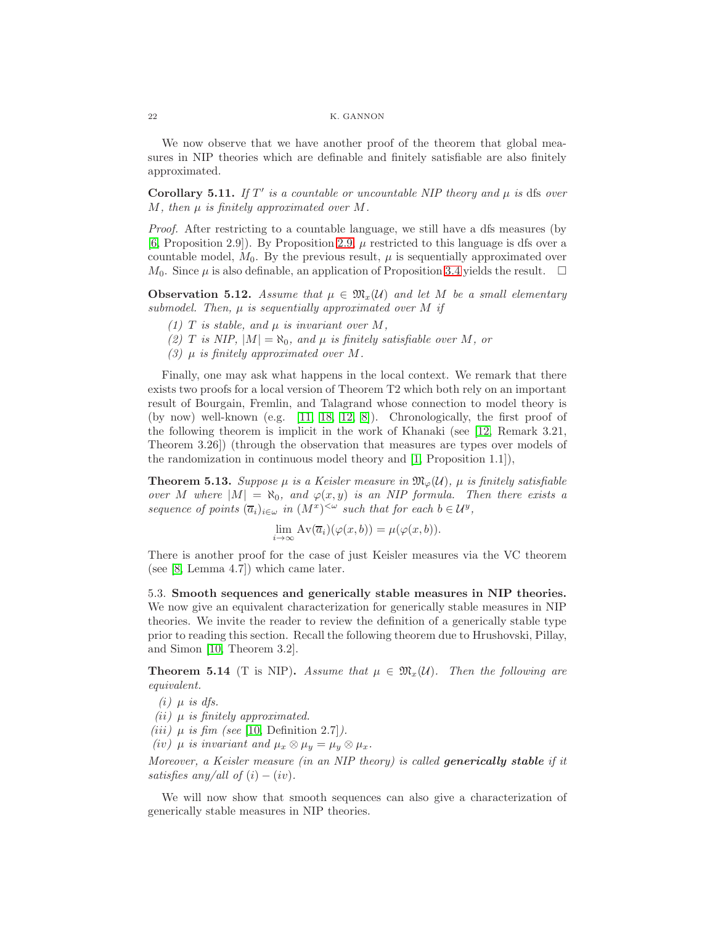We now observe that we have another proof of the theorem that global measures in NIP theories which are definable and finitely satisfiable are also finitely approximated.

Corollary 5.11. If  $T'$  is a countable or uncountable NIP theory and  $\mu$  is dfs over  $M$ , then  $\mu$  is finitely approximated over  $M$ .

*Proof.* After restricting to a countable language, we still have a dfs measures (by [\[6,](#page-25-5) Proposition 2.9]). By Proposition [2.9,](#page-6-1)  $\mu$  restricted to this language is dfs over a countable model,  $M_0$ . By the previous result,  $\mu$  is sequentially approximated over  $M_0$ . Since  $\mu$  is also definable, an application of Proposition [3.4](#page-9-0) yields the result.  $\Box$ 

**Observation 5.12.** Assume that  $\mu \in \mathfrak{M}_{x}(\mathcal{U})$  and let M be a small elementary *submodel. Then,* µ *is sequentially approximated over* M *if*

- *(1)*  $T$  *is stable, and*  $\mu$  *is invariant over*  $M$ *,*
- *(2) T is NIP*,  $|M| = \aleph_0$ *, and*  $\mu$  *is finitely satisfiable over M, or*
- *(3)*  $\mu$  *is finitely approximated over*  $M$ *.*

Finally, one may ask what happens in the local context. We remark that there exists two proofs for a local version of Theorem T2 which both rely on an important result of Bourgain, Fremlin, and Talagrand whose connection to model theory is (by now) well-known (e.g. [\[11,](#page-25-10) [18,](#page-26-6) [12,](#page-25-9) [8\]](#page-25-0)). Chronologically, the first proof of the following theorem is implicit in the work of Khanaki (see [\[12,](#page-25-9) Remark 3.21, Theorem 3.26]) (through the observation that measures are types over models of the randomization in continuous model theory and [\[1,](#page-25-11) Proposition 1.1]),

<span id="page-21-0"></span>**Theorem 5.13.** Suppose  $\mu$  is a Keisler measure in  $\mathfrak{M}_{\varphi}(\mathcal{U})$ ,  $\mu$  is finitely satisfiable *over* M where  $|M| = \aleph_0$ , and  $\varphi(x, y)$  *is an NIP formula. Then there exists a sequence of points*  $(\overline{a}_i)_{i \in \omega}$  *in*  $(M^x)^{<\omega}$  *such that for each*  $b \in \mathcal{U}^y$ *,* 

$$
\lim_{i \to \infty} Av(\overline{a}_i)(\varphi(x, b)) = \mu(\varphi(x, b)).
$$

There is another proof for the case of just Keisler measures via the VC theorem (see [\[8,](#page-25-0) Lemma 4.7]) which came later.

5.3. Smooth sequences and generically stable measures in NIP theories. We now give an equivalent characterization for generically stable measures in NIP theories. We invite the reader to review the definition of a generically stable type prior to reading this section. Recall the following theorem due to Hrushovski, Pillay, and Simon [\[10,](#page-25-2) Theorem 3.2].

<span id="page-21-1"></span>**Theorem 5.14** (T is NIP). Assume that  $\mu \in \mathfrak{M}_x(\mathcal{U})$ . Then the following are *equivalent.*

- $(i)$   $\mu$  *is dfs.*
- $(iii)$   $\mu$  *is finitely approximated.*
- $(iii)$   $\mu$  *is fim (see* [\[10,](#page-25-2) Definition 2.7]*)*.

*(iv)*  $\mu$  *is invariant and*  $\mu_x \otimes \mu_y = \mu_y \otimes \mu_x$ *.* 

*Moreover, a Keisler measure (in an NIP theory) is called* generically stable *if it satisfies any/all of*  $(i) - (iv)$ *.* 

We will now show that smooth sequences can also give a characterization of generically stable measures in NIP theories.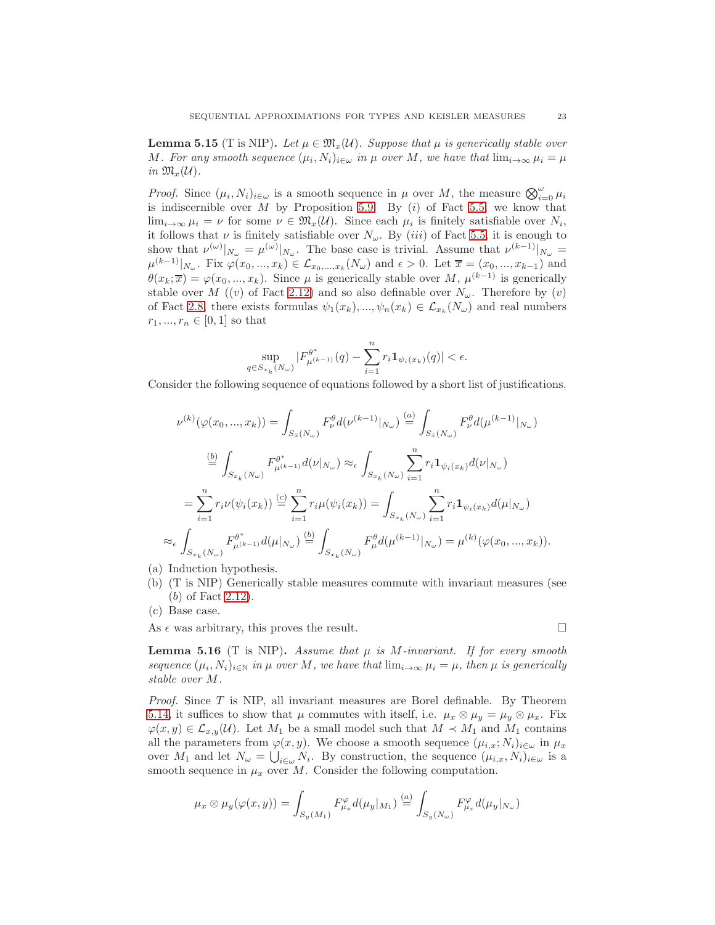**Lemma 5.15** (T is NIP). Let  $\mu \in \mathfrak{M}_x(\mathcal{U})$ . Suppose that  $\mu$  is generically stable over M. For any smooth sequence  $(\mu_i, N_i)_{i \in \omega}$  in  $\mu$  over M, we have that  $\lim_{i \to \infty} \mu_i = \mu$ *in*  $\mathfrak{M}_x(\mathcal{U})$ .

*Proof.* Since  $(\mu_i, N_i)_{i \in \omega}$  is a smooth sequence in  $\mu$  over M, the measure  $\bigotimes_{i=0}^{\omega} \mu_i$ is indiscernible over  $M$  by Proposition [5.9.](#page-19-1) By  $(i)$  of Fact [5.5,](#page-17-1) we know that  $\lim_{i\to\infty}\mu_i=\nu$  for some  $\nu\in\mathfrak{M}_x(\mathcal{U})$ . Since each  $\mu_i$  is finitely satisfiable over  $N_i$ , it follows that  $\nu$  is finitely satisfiable over  $N_{\omega}$ . By (*iii*) of Fact [5.5,](#page-17-1) it is enough to show that  $\nu^{(\omega)}|_{N_{\omega}} = \mu^{(\omega)}|_{N_{\omega}}$ . The base case is trivial. Assume that  $\nu^{(k-1)}|_{N_{\omega}} =$  $\mu^{(k-1)}|_{N_{\omega}}$ . Fix  $\varphi(x_0, ..., x_k) \in \mathcal{L}_{x_0, ..., x_k}(N_{\omega})$  and  $\epsilon > 0$ . Let  $\overline{x} = (x_0, ..., x_{k-1})$  and  $\theta(x_k; \overline{x}) = \varphi(x_0, ..., x_k)$ . Since  $\mu$  is generically stable over M,  $\mu^{(k-1)}$  is generically stable over M ((v) of Fact [2.12\)](#page-6-0) and so also definable over  $N_{\omega}$ . Therefore by (v) of Fact [2.8,](#page-5-0) there exists formulas  $\psi_1(x_k), ..., \psi_n(x_k) \in \mathcal{L}_{x_k}(N_\omega)$  and real numbers  $r_1, ..., r_n \in [0, 1]$  so that

$$
\sup_{0 \in S_{x_k}(N_\omega)} |F_{\mu^{(k-1)}}^{\theta^*}(q) - \sum_{i=1}^n r_i \mathbf{1}_{\psi_i(x_k)}(q)| < \epsilon.
$$

Consider the following sequence of equations followed by a short list of justifications.

$$
\nu^{(k)}(\varphi(x_0, ..., x_k)) = \int_{S_{\bar{x}}(N_{\omega})} F_{\nu}^{\theta} d(\nu^{(k-1)}|_{N_{\omega}}) \stackrel{(a)}{=} \int_{S_{\bar{x}}(N_{\omega})} F_{\nu}^{\theta} d(\mu^{(k-1)}|_{N_{\omega}})
$$

$$
\stackrel{(b)}{=} \int_{S_{x_k}(N_{\omega})} F_{\mu^{(k-1)}}^{\theta^*} d(\nu|_{N_{\omega}}) \approx_{\epsilon} \int_{S_{x_k}(N_{\omega})} \sum_{i=1}^n r_i \mathbf{1}_{\psi_i(x_k)} d(\nu|_{N_{\omega}})
$$

$$
= \sum_{i=1}^n r_i \nu(\psi_i(x_k)) \stackrel{(c)}{=} \sum_{i=1}^n r_i \mu(\psi_i(x_k)) = \int_{S_{x_k}(N_{\omega})} \sum_{i=1}^n r_i \mathbf{1}_{\psi_i(x_k)} d(\mu|_{N_{\omega}})
$$

$$
\approx_{\epsilon} \int_{S_{x_k}(N_{\omega})} F_{\mu^{(k-1)}}^{\theta^*} d(\mu|_{N_{\omega}}) \stackrel{(b)}{=} \int_{S_{x_k}(N_{\omega})} F_{\mu}^{\theta} d(\mu^{(k-1)}|_{N_{\omega}}) = \mu^{(k)}(\varphi(x_0, ..., x_k)).
$$

- (a) Induction hypothesis.
- (b) (T is NIP) Generically stable measures commute with invariant measures (see (b) of Fact [2.12\)](#page-6-0).
- (c) Base case.

As  $\epsilon$  was arbitrary, this proves the result.

 $q$ 

**Lemma 5.16** (T is NIP). Assume that  $\mu$  is M-invariant. If for every smooth *sequence*  $(\mu_i, N_i)_{i \in \mathbb{N}}$  *in*  $\mu$  *over*  $M$ *, we have that*  $\lim_{i \to \infty} \mu_i = \mu$ *, then*  $\mu$  *is generically stable over* M*.*

*Proof.* Since T is NIP, all invariant measures are Borel definable. By Theorem [5.14,](#page-21-1) it suffices to show that  $\mu$  commutes with itself, i.e.  $\mu_x \otimes \mu_y = \mu_y \otimes \mu_x$ . Fix  $\varphi(x, y) \in \mathcal{L}_{x, y}(\mathcal{U})$ . Let  $M_1$  be a small model such that  $M \prec M_1$  and  $M_1$  contains all the parameters from  $\varphi(x, y)$ . We choose a smooth sequence  $(\mu_{i,x}; N_i)_{i \in \omega}$  in  $\mu_x$ over  $M_1$  and let  $N_\omega = \bigcup_{i \in \omega} N_i$ . By construction, the sequence  $(\mu_{i,x}, N_i)_{i \in \omega}$  is a smooth sequence in  $\mu_x$  over M. Consider the following computation.

$$
\mu_x \otimes \mu_y(\varphi(x,y)) = \int_{S_y(M_1)} F_{\mu_x}^{\varphi} d(\mu_y|_{M_1}) \stackrel{(a)}{=} \int_{S_y(N_{\omega})} F_{\mu_x}^{\varphi} d(\mu_y|_{N_{\omega}})
$$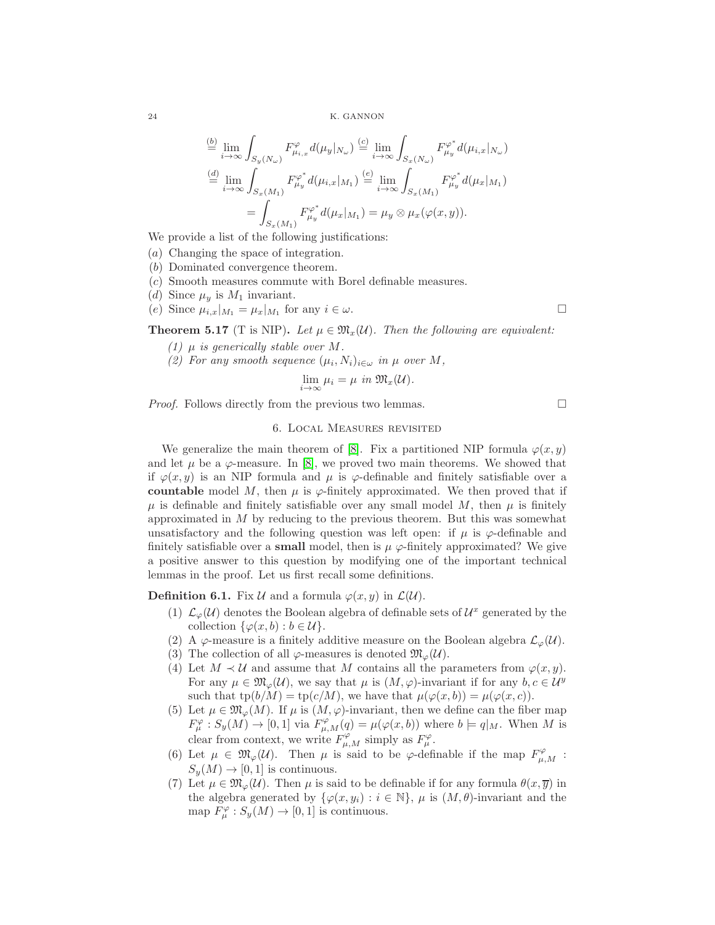$$
\stackrel{(b)}{=} \lim_{i \to \infty} \int_{S_y(N_\omega)} F_{\mu_{i,x}}^{\varphi} d(\mu_y |_{N_\omega}) \stackrel{(c)}{=} \lim_{i \to \infty} \int_{S_x(N_\omega)} F_{\mu_y}^{\varphi^*} d(\mu_{i,x} |_{N_\omega})
$$

$$
\stackrel{(d)}{=} \lim_{i \to \infty} \int_{S_x(M_1)} F_{\mu_y}^{\varphi^*} d(\mu_{i,x} |_{M_1}) \stackrel{(e)}{=} \lim_{i \to \infty} \int_{S_x(M_1)} F_{\mu_y}^{\varphi^*} d(\mu_x |_{M_1})
$$

$$
= \int_{S_x(M_1)} F_{\mu_y}^{\varphi^*} d(\mu_x |_{M_1}) = \mu_y \otimes \mu_x(\varphi(x, y)).
$$

We provide a list of the following justifications:

- (a) Changing the space of integration.
- (b) Dominated convergence theorem.
- (c) Smooth measures commute with Borel definable measures.
- (d) Since  $\mu_y$  is  $M_1$  invariant.
- (e) Since  $\mu_{i,x}|_{M_1} = \mu_x|_{M_1}$  for any  $i \in \omega$ .

**Theorem 5.17** (T is NIP). Let  $\mu \in \mathfrak{M}_x(\mathcal{U})$ . Then the following are equivalent:

- *(1)*  $\mu$  *is generically stable over*  $M$ *.*
- *(2)* For any smooth sequence  $(\mu_i, N_i)_{i \in \omega}$  in  $\mu$  over M,

$$
\lim_{i \to \infty} \mu_i = \mu \text{ in } \mathfrak{M}_x(\mathcal{U}).
$$

*Proof.* Follows directly from the previous two lemmas.

### 6. Local Measures revisited

We generalize the main theorem of [\[8\]](#page-25-0). Fix a partitioned NIP formula  $\varphi(x, y)$ and let  $\mu$  be a  $\varphi$ -measure. In [\[8\]](#page-25-0), we proved two main theorems. We showed that if  $\varphi(x, y)$  is an NIP formula and  $\mu$  is  $\varphi$ -definable and finitely satisfiable over a countable model M, then  $\mu$  is  $\varphi$ -finitely approximated. We then proved that if  $\mu$  is definable and finitely satisfiable over any small model M, then  $\mu$  is finitely approximated in  $M$  by reducing to the previous theorem. But this was somewhat unsatisfactory and the following question was left open: if  $\mu$  is  $\varphi$ -definable and finitely satisfiable over a **small** model, then is  $\mu \varphi$ -finitely approximated? We give a positive answer to this question by modifying one of the important technical lemmas in the proof. Let us first recall some definitions.

**Definition 6.1.** Fix  $\mathcal U$  and a formula  $\varphi(x, y)$  in  $\mathcal L(\mathcal U)$ .

- (1)  $\mathcal{L}_{\varphi}(\mathcal{U})$  denotes the Boolean algebra of definable sets of  $\mathcal{U}^x$  generated by the collection  $\{\varphi(x, b) : b \in \mathcal{U}\}.$
- (2) A  $\varphi$ -measure is a finitely additive measure on the Boolean algebra  $\mathcal{L}_{\varphi}(\mathcal{U})$ .
- (3) The collection of all  $\varphi$ -measures is denoted  $\mathfrak{M}_{\varphi}(\mathcal{U})$ .
- (4) Let  $M \prec U$  and assume that M contains all the parameters from  $\varphi(x, y)$ . For any  $\mu \in \mathfrak{M}_{\varphi}(\mathcal{U}),$  we say that  $\mu$  is  $(M, \varphi)$ -invariant if for any  $b, c \in \mathcal{U}^y$ such that  $tp(b/M) = tp(c/M)$ , we have that  $\mu(\varphi(x, b)) = \mu(\varphi(x, c))$ .
- (5) Let  $\mu \in \mathfrak{M}_{\varphi}(M)$ . If  $\mu$  is  $(M, \varphi)$ -invariant, then we define can the fiber map  $F^{\varphi}_{\mu}: S_y(M) \to [0,1]$  via  $F^{\varphi}_{\mu,M}(q) = \mu(\varphi(x,b))$  where  $b \models q|_M$ . When M is clear from context, we write  $F^{\varphi}_{\mu,M}$  simply as  $F^{\varphi}_{\mu}$ .
- (6) Let  $\mu \in \mathfrak{M}_{\varphi}(\mathcal{U})$ . Then  $\mu$  is said to be  $\varphi$ -definable if the map  $F_{\mu,M}^{\varphi}$ :  $S_y(M) \to [0, 1]$  is continuous.
- (7) Let  $\mu \in \mathfrak{M}_{\varphi}(\mathcal{U})$ . Then  $\mu$  is said to be definable if for any formula  $\theta(x, \overline{y})$  in the algebra generated by  $\{\varphi(x,y_i): i \in \mathbb{N}\}, \mu$  is  $(M,\theta)$ -invariant and the map  $F_{\mu}^{\varphi}: S_{y}(M) \to [0,1]$  is continuous.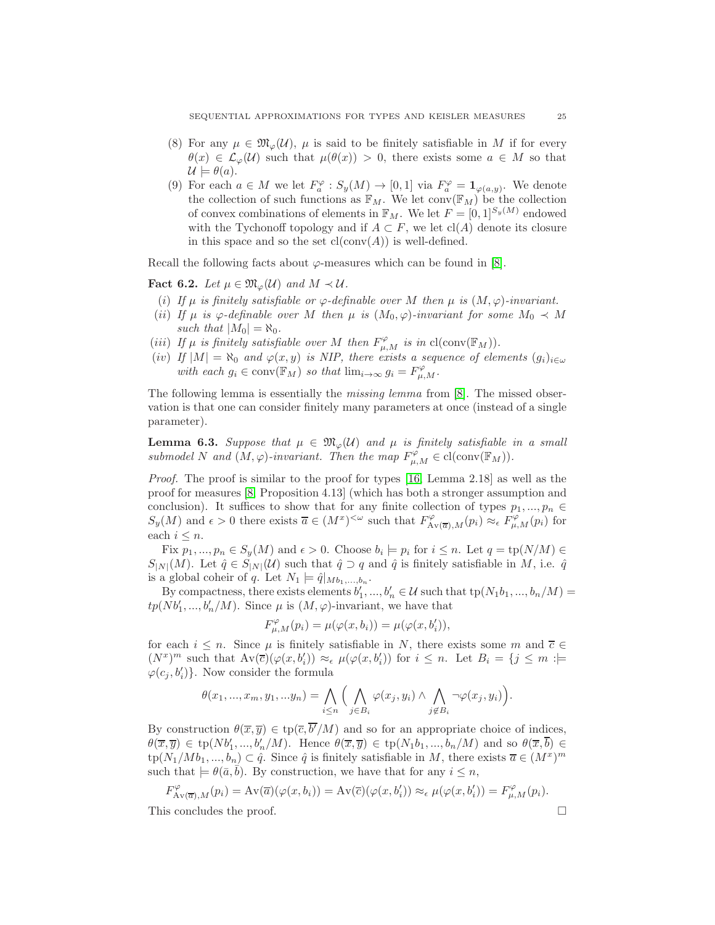- (8) For any  $\mu \in \mathfrak{M}_{\varphi}(\mathcal{U}), \mu$  is said to be finitely satisfiable in M if for every  $\theta(x) \in \mathcal{L}_{\varphi}(\mathcal{U})$  such that  $\mu(\theta(x)) > 0$ , there exists some  $a \in M$  so that  $\mathcal{U} \models \theta(a).$
- (9) For each  $a \in M$  we let  $F_a^{\varphi}: S_y(M) \to [0,1]$  via  $F_a^{\varphi} = \mathbf{1}_{\varphi(a,y)}$ . We denote the collection of such functions as  $\mathbb{F}_M$ . We let conv $(\mathbb{F}_M)$  be the collection of convex combinations of elements in  $\mathbb{F}_M$ . We let  $F = [0, 1]^{S_y(M)}$  endowed with the Tychonoff topology and if  $A \subset F$ , we let cl(A) denote its closure in this space and so the set  $cl(conv(A))$  is well-defined.

Recall the following facts about  $\varphi$ -measures which can be found in [\[8\]](#page-25-0).

<span id="page-24-1"></span>Fact 6.2. Let  $\mu \in \mathfrak{M}_{\varphi}(\mathcal{U})$  and  $M \prec \mathcal{U}$ .

- (*i*) If  $\mu$  *is finitely satisfiable or*  $\varphi$ -definable over M then  $\mu$  *is*  $(M, \varphi)$ -*invariant.*
- (*ii*) *If*  $\mu$  *is*  $\varphi$ -definable over M then  $\mu$  *is*  $(M_0, \varphi)$ -*invariant for some*  $M_0 \prec M$ *such that*  $|M_0| = \aleph_0$ .
- (*iii*) *If*  $\mu$  *is finitely satisfiable over M then*  $F^{\varphi}_{\mu,M}$  *is in* cl(conv( $\mathbb{F}_M$ )).
- (iv) *If*  $|M| = \aleph_0$  *and*  $\varphi(x, y)$  *is NIP, there exists a sequence of elements*  $(g_i)_{i \in \omega}$ with each  $g_i \in \text{conv}(\mathbb{F}_M)$  *so that*  $\lim_{i \to \infty} g_i = F_{\mu,M}^{\varphi}$ .

The following lemma is essentially the *missing lemma* from [\[8\]](#page-25-0). The missed observation is that one can consider finitely many parameters at once (instead of a single parameter).

<span id="page-24-0"></span>**Lemma 6.3.** Suppose that  $\mu \in \mathfrak{M}_{\varphi}(\mathcal{U})$  and  $\mu$  is finitely satisfiable in a small *submodel* N and  $(M, \varphi)$ *-invariant. Then the map*  $F_{\mu,M}^{\varphi} \in \text{cl}(\text{conv}(\mathbb{F}_M))$ *.* 

*Proof.* The proof is similar to the proof for types [\[16,](#page-26-4) Lemma 2.18] as well as the proof for measures [\[8,](#page-25-0) Proposition 4.13] (which has both a stronger assumption and conclusion). It suffices to show that for any finite collection of types  $p_1, ..., p_n \in$  $S_y(M)$  and  $\epsilon > 0$  there exists  $\overline{a} \in (M^x)^{<\omega}$  such that  $F_{A\vee(\overline{a}),M}^{\varphi}(p_i) \approx_{\epsilon} F_{\mu,M}^{\varphi}(p_i)$  for each  $i \leq n$ .

Fix  $p_1, ..., p_n \in S_y(M)$  and  $\epsilon > 0$ . Choose  $b_i \models p_i$  for  $i \leq n$ . Let  $q = \text{tp}(N/M) \in$  $S_{|N|}(M)$ . Let  $\hat{q} \in S_{|N|}(\mathcal{U})$  such that  $\hat{q} \supset q$  and  $\hat{q}$  is finitely satisfiable in M, i.e.  $\hat{q}$ is a global coheir of q. Let  $N_1 \models \hat{q}|_{Mb_1,...,b_n}$ .

By compactness, there exists elements  $b'_1, ..., b'_n \in \mathcal{U}$  such that  $tp(N_1b_1, ..., b_n/M)$  $tp(Nb'_1, ..., b'_n/M)$ . Since  $\mu$  is  $(M, \varphi)$ -invariant, we have that

$$
F_{\mu,M}^{\varphi}(p_i) = \mu(\varphi(x,b_i)) = \mu(\varphi(x,b_i')),
$$

for each  $i \leq n$ . Since  $\mu$  is finitely satisfiable in N, there exists some m and  $\bar{c} \in$  $(N^x)^m$  such that  $Av(\overline{c})(\varphi(x, b'_i)) \approx_{\epsilon} \mu(\varphi(x, b'_i))$  for  $i \leq n$ . Let  $B_i = \{j \leq m : \models$  $\varphi(c_j, b'_i)$ . Now consider the formula

$$
\theta(x_1, ..., x_m, y_1, ... y_n) = \bigwedge_{i \leq n} \Big( \bigwedge_{j \in B_i} \varphi(x_j, y_i) \wedge \bigwedge_{j \notin B_i} \neg \varphi(x_j, y_i) \Big).
$$

By construction  $\theta(\overline{x}, \overline{y}) \in \text{tp}(\overline{c}, \overline{b'}/M)$  and so for an appropriate choice of indices,  $\theta(\overline{x}, \overline{y}) \in \text{tp}(Nb'_1, ..., b'_n/M)$ . Hence  $\theta(\overline{x}, \overline{y}) \in \text{tp}(N_1b_1, ..., b_n/M)$  and so  $\theta(\overline{x}, \overline{b}) \in$  $tp(N_1/Mb_1, ..., b_n) \subset \hat{q}$ . Since  $\hat{q}$  is finitely satisfiable in M, there exists  $\overline{a} \in (M^x)^m$ such that  $\models \theta(\bar{a}, \bar{b})$ . By construction, we have that for any  $i \leq n$ ,

$$
F_{\mathbf{A}\mathbf{v}(\overline{a}),M}^{\varphi}(p_i) = \mathbf{A}\mathbf{v}(\overline{a})(\varphi(x,b_i)) = \mathbf{A}\mathbf{v}(\overline{c})(\varphi(x,b_i')) \approx_{\epsilon} \mu(\varphi(x,b_i')) = F_{\mu,M}^{\varphi}(p_i).
$$

This concludes the proof.  $\Box$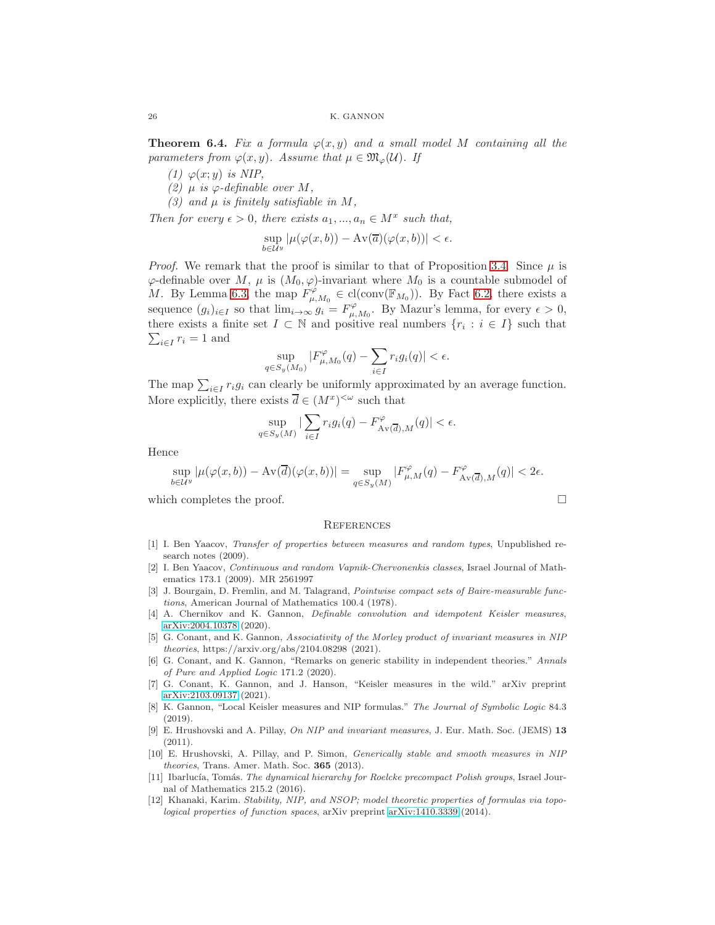<span id="page-25-3"></span>**Theorem 6.4.** Fix a formula  $\varphi(x, y)$  and a small model M containing all the *parameters from*  $\varphi(x, y)$ *. Assume that*  $\mu \in \mathfrak{M}_{\varphi}(\mathcal{U})$ *. If* 

*(1)*  $\varphi(x; y)$  *is NIP*,

 $(2)$   $\mu$  *is*  $\varphi$ -definable over M,

*(3)* and  $\mu$  *is finitely satisfiable in M*,

*Then for every*  $\epsilon > 0$ *, there exists*  $a_1, ..., a_n \in M^x$  *such that,* 

$$
\sup_{b \in \mathcal{U}^y} |\mu(\varphi(x, b)) - \mathrm{Av}(\overline{a})(\varphi(x, b))| < \epsilon.
$$

*Proof.* We remark that the proof is similar to that of Proposition [3.4.](#page-9-0) Since  $\mu$  is  $\varphi$ -definable over M,  $\mu$  is  $(M_0, \varphi)$ -invariant where  $M_0$  is a countable submodel of M. By Lemma [6.3,](#page-24-0) the map  $F_{\mu,M_0}^{\varphi} \in \text{cl}(\text{conv}(\mathbb{F}_{M_0}))$ . By Fact [6.2,](#page-24-1) there exists a sequence  $(g_i)_{i\in I}$  so that  $\lim_{i\to\infty} g_i = F_{\mu,M_0}^{\varphi}$ . By Mazur's lemma, for every  $\epsilon > 0$ , there exists a finite set  $I \subset \mathbb{N}$  and positive real numbers  $\{r_i : i \in I\}$  such that  $\sum_{i \in I} r_i = 1$  and  $_{i\in I}$   $r_i = 1$  and

$$
\sup_{q \in S_y(M_0)} |F_{\mu,M_0}^{\varphi}(q) - \sum_{i \in I} r_i g_i(q)| < \epsilon.
$$

The map  $\sum_{i \in I} r_i g_i$  can clearly be uniformly approximated by an average function. More explicitly, there exists  $\overline{d} \in (M^x)^{<\omega}$  such that

$$
\sup_{q \in S_y(M)} |\sum_{i \in I} r_i g_i(q) - F_{\mathop{\mathrm{Av}}(\overline{d}),M}^{\varphi}(q)| < \epsilon.
$$

Hence

$$
\sup_{b\in\mathcal{U}^y}|\mu(\varphi(x,b))- \operatorname{Av}(\overline{d})(\varphi(x,b))|=\sup_{q\in S_y(M)}|F_{\mu,M}^\varphi(q)-F_{\operatorname{Av}(\overline{d}),M}^\varphi(q)|<2\epsilon.
$$

which completes the proof.  $\Box$ 

### **REFERENCES**

- <span id="page-25-11"></span>[1] I. Ben Yaacov, Transfer of properties between measures and random types, Unpublished research notes (2009).
- <span id="page-25-1"></span>[2] I. Ben Yaacov, Continuous and random Vapnik-Chervonenkis classes, Israel Journal of Mathematics 173.1 (2009). MR 2561997
- [3] J. Bourgain, D. Fremlin, and M. Talagrand, *Pointwise compact sets of Baire-measurable func*tions, American Journal of Mathematics 100.4 (1978).
- <span id="page-25-4"></span>[4] A. Chernikov and K. Gannon, Definable convolution and idempotent Keisler measures, [arXiv:2004.10378](http://arxiv.org/abs/2004.10378) (2020).
- <span id="page-25-7"></span>[5] G. Conant, and K. Gannon, Associativity of the Morley product of invariant measures in NIP theories, https://arxiv.org/abs/2104.08298 (2021).
- <span id="page-25-5"></span>[6] G. Conant, and K. Gannon, "Remarks on generic stability in independent theories." Annals of Pure and Applied Logic 171.2 (2020).
- <span id="page-25-8"></span>[7] G. Conant, K. Gannon, and J. Hanson, "Keisler measures in the wild." arXiv preprint [arXiv:2103.09137](http://arxiv.org/abs/2103.09137) (2021).
- <span id="page-25-0"></span>[8] K. Gannon, "Local Keisler measures and NIP formulas." The Journal of Symbolic Logic 84.3 (2019).
- <span id="page-25-6"></span>[9] E. Hrushovski and A. Pillay, On NIP and invariant measures, J. Eur. Math. Soc. (JEMS) 13 (2011).
- <span id="page-25-2"></span>[10] E. Hrushovski, A. Pillay, and P. Simon, Generically stable and smooth measures in NIP theories, Trans. Amer. Math. Soc. 365 (2013).
- <span id="page-25-10"></span>[11] Ibarlucía, Tomás. The dynamical hierarchy for Roelcke precompact Polish groups, Israel Journal of Mathematics 215.2 (2016).
- <span id="page-25-9"></span>[12] Khanaki, Karim. Stability, NIP, and NSOP; model theoretic properties of formulas via topological properties of function spaces, arXiv preprint [arXiv:1410.3339](http://arxiv.org/abs/1410.3339) (2014).